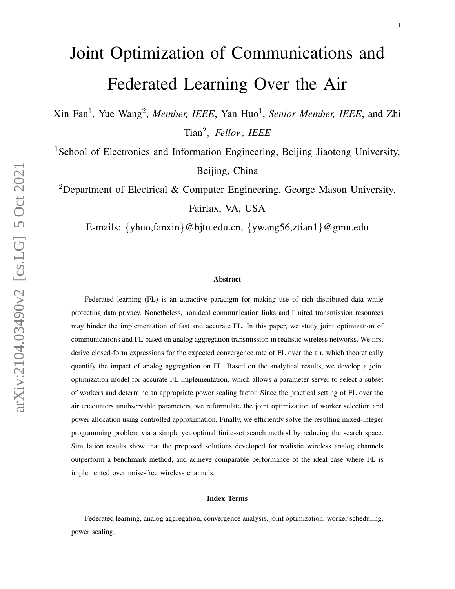# Joint Optimization of Communications and Federated Learning Over the Air

Xin Fan<sup>1</sup>, Yue Wang<sup>2</sup>, *Member, IEEE*, Yan Huo<sup>1</sup>, *Senior Member, IEEE*, and Zhi Tian<sup>2</sup> , *Fellow, IEEE*

<sup>1</sup>School of Electronics and Information Engineering, Beijing Jiaotong University, Beijing, China

<sup>2</sup>Department of Electrical & Computer Engineering, George Mason University, Fairfax, VA, USA

E-mails: {yhuo,fanxin}@bjtu.edu.cn, {ywang56,ztian1}@gmu.edu

#### Abstract

Federated learning (FL) is an attractive paradigm for making use of rich distributed data while protecting data privacy. Nonetheless, nonideal communication links and limited transmission resources may hinder the implementation of fast and accurate FL. In this paper, we study joint optimization of communications and FL based on analog aggregation transmission in realistic wireless networks. We first derive closed-form expressions for the expected convergence rate of FL over the air, which theoretically quantify the impact of analog aggregation on FL. Based on the analytical results, we develop a joint optimization model for accurate FL implementation, which allows a parameter server to select a subset of workers and determine an appropriate power scaling factor. Since the practical setting of FL over the air encounters unobservable parameters, we reformulate the joint optimization of worker selection and power allocation using controlled approximation. Finally, we efficiently solve the resulting mixed-integer programming problem via a simple yet optimal finite-set search method by reducing the search space. Simulation results show that the proposed solutions developed for realistic wireless analog channels outperform a benchmark method, and achieve comparable performance of the ideal case where FL is implemented over noise-free wireless channels.

#### Index Terms

Federated learning, analog aggregation, convergence analysis, joint optimization, worker scheduling, power scaling.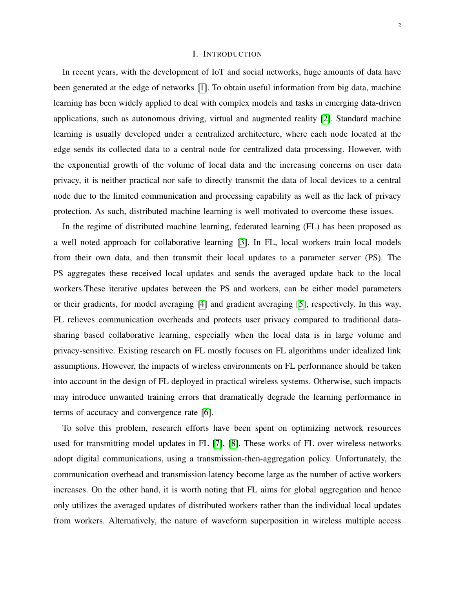#### I. INTRODUCTION

In recent years, with the development of IoT and social networks, huge amounts of data have been generated at the edge of networks [\[1\]](#page-33-0). To obtain useful information from big data, machine learning has been widely applied to deal with complex models and tasks in emerging data-driven applications, such as autonomous driving, virtual and augmented reality [\[2\]](#page-33-1). Standard machine learning is usually developed under a centralized architecture, where each node located at the edge sends its collected data to a central node for centralized data processing. However, with the exponential growth of the volume of local data and the increasing concerns on user data privacy, it is neither practical nor safe to directly transmit the data of local devices to a central node due to the limited communication and processing capability as well as the lack of privacy protection. As such, distributed machine learning is well motivated to overcome these issues.

In the regime of distributed machine learning, federated learning (FL) has been proposed as a well noted approach for collaborative learning [\[3\]](#page-33-2). In FL, local workers train local models from their own data, and then transmit their local updates to a parameter server (PS). The PS aggregates these received local updates and sends the averaged update back to the local workers.These iterative updates between the PS and workers, can be either model parameters or their gradients, for model averaging [\[4\]](#page-33-3) and gradient averaging [\[5\]](#page-33-4), respectively. In this way, FL relieves communication overheads and protects user privacy compared to traditional datasharing based collaborative learning, especially when the local data is in large volume and privacy-sensitive. Existing research on FL mostly focuses on FL algorithms under idealized link assumptions. However, the impacts of wireless environments on FL performance should be taken into account in the design of FL deployed in practical wireless systems. Otherwise, such impacts may introduce unwanted training errors that dramatically degrade the learning performance in terms of accuracy and convergence rate [\[6\]](#page-33-5).

To solve this problem, research efforts have been spent on optimizing network resources used for transmitting model updates in FL [\[7\]](#page-33-6), [\[8\]](#page-33-7). These works of FL over wireless networks adopt digital communications, using a transmission-then-aggregation policy. Unfortunately, the communication overhead and transmission latency become large as the number of active workers increases. On the other hand, it is worth noting that FL aims for global aggregation and hence only utilizes the averaged updates of distributed workers rather than the individual local updates from workers. Alternatively, the nature of waveform superposition in wireless multiple access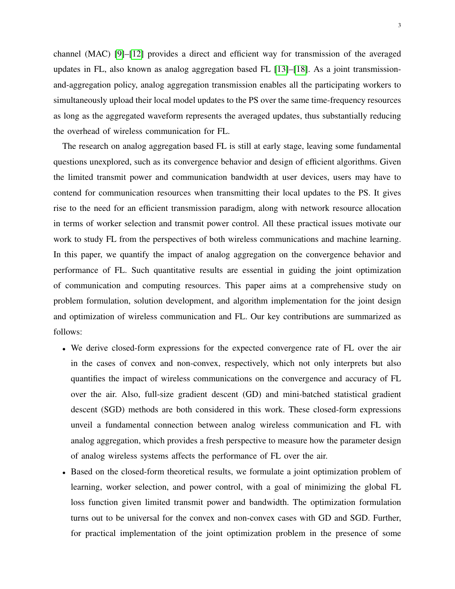channel (MAC) [\[9\]](#page-33-8)–[\[12\]](#page-33-9) provides a direct and efficient way for transmission of the averaged updates in FL, also known as analog aggregation based FL [\[13\]](#page-33-10)–[\[18\]](#page-34-0). As a joint transmissionand-aggregation policy, analog aggregation transmission enables all the participating workers to simultaneously upload their local model updates to the PS over the same time-frequency resources as long as the aggregated waveform represents the averaged updates, thus substantially reducing the overhead of wireless communication for FL.

The research on analog aggregation based FL is still at early stage, leaving some fundamental questions unexplored, such as its convergence behavior and design of efficient algorithms. Given the limited transmit power and communication bandwidth at user devices, users may have to contend for communication resources when transmitting their local updates to the PS. It gives rise to the need for an efficient transmission paradigm, along with network resource allocation in terms of worker selection and transmit power control. All these practical issues motivate our work to study FL from the perspectives of both wireless communications and machine learning. In this paper, we quantify the impact of analog aggregation on the convergence behavior and performance of FL. Such quantitative results are essential in guiding the joint optimization of communication and computing resources. This paper aims at a comprehensive study on problem formulation, solution development, and algorithm implementation for the joint design and optimization of wireless communication and FL. Our key contributions are summarized as follows:

- We derive closed-form expressions for the expected convergence rate of FL over the air in the cases of convex and non-convex, respectively, which not only interprets but also quantifies the impact of wireless communications on the convergence and accuracy of FL over the air. Also, full-size gradient descent (GD) and mini-batched statistical gradient descent (SGD) methods are both considered in this work. These closed-form expressions unveil a fundamental connection between analog wireless communication and FL with analog aggregation, which provides a fresh perspective to measure how the parameter design of analog wireless systems affects the performance of FL over the air.
- Based on the closed-form theoretical results, we formulate a joint optimization problem of learning, worker selection, and power control, with a goal of minimizing the global FL loss function given limited transmit power and bandwidth. The optimization formulation turns out to be universal for the convex and non-convex cases with GD and SGD. Further, for practical implementation of the joint optimization problem in the presence of some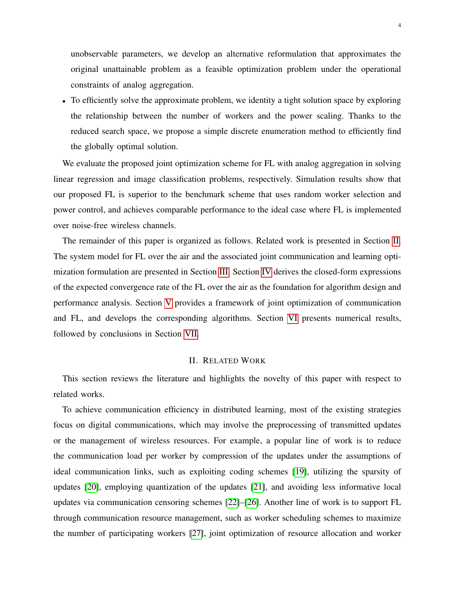unobservable parameters, we develop an alternative reformulation that approximates the original unattainable problem as a feasible optimization problem under the operational constraints of analog aggregation.

• To efficiently solve the approximate problem, we identity a tight solution space by exploring the relationship between the number of workers and the power scaling. Thanks to the reduced search space, we propose a simple discrete enumeration method to efficiently find the globally optimal solution.

We evaluate the proposed joint optimization scheme for FL with analog aggregation in solving linear regression and image classification problems, respectively. Simulation results show that our proposed FL is superior to the benchmark scheme that uses random worker selection and power control, and achieves comparable performance to the ideal case where FL is implemented over noise-free wireless channels.

The remainder of this paper is organized as follows. Related work is presented in Section [II.](#page-3-0) The system model for FL over the air and the associated joint communication and learning optimization formulation are presented in Section [III.](#page-4-0) Section [IV](#page-8-0) derives the closed-form expressions of the expected convergence rate of the FL over the air as the foundation for algorithm design and performance analysis. Section [V](#page-14-0) provides a framework of joint optimization of communication and FL, and develops the corresponding algorithms. Section [VI](#page-19-0) presents numerical results, followed by conclusions in Section [VII.](#page-24-0)

#### II. RELATED WORK

<span id="page-3-0"></span>This section reviews the literature and highlights the novelty of this paper with respect to related works.

To achieve communication efficiency in distributed learning, most of the existing strategies focus on digital communications, which may involve the preprocessing of transmitted updates or the management of wireless resources. For example, a popular line of work is to reduce the communication load per worker by compression of the updates under the assumptions of ideal communication links, such as exploiting coding schemes [\[19\]](#page-34-1), utilizing the sparsity of updates [\[20\]](#page-34-2), employing quantization of the updates [\[21\]](#page-34-3), and avoiding less informative local updates via communication censoring schemes [\[22\]](#page-34-4)–[\[26\]](#page-34-5). Another line of work is to support FL through communication resource management, such as worker scheduling schemes to maximize the number of participating workers [\[27\]](#page-34-6), joint optimization of resource allocation and worker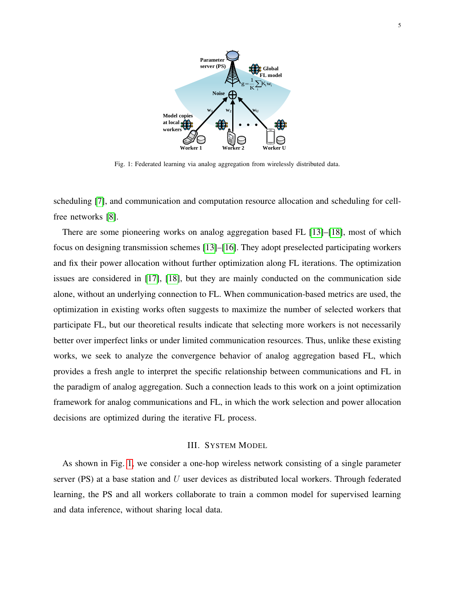<span id="page-4-1"></span>

Fig. 1: Federated learning via analog aggregation from wirelessly distributed data.

scheduling [\[7\]](#page-33-6), and communication and computation resource allocation and scheduling for cellfree networks [\[8\]](#page-33-7).

There are some pioneering works on analog aggregation based FL [\[13\]](#page-33-10)–[\[18\]](#page-34-0), most of which focus on designing transmission schemes [\[13\]](#page-33-10)–[\[16\]](#page-34-7). They adopt preselected participating workers and fix their power allocation without further optimization along FL iterations. The optimization issues are considered in [\[17\]](#page-34-8), [\[18\]](#page-34-0), but they are mainly conducted on the communication side alone, without an underlying connection to FL. When communication-based metrics are used, the optimization in existing works often suggests to maximize the number of selected workers that participate FL, but our theoretical results indicate that selecting more workers is not necessarily better over imperfect links or under limited communication resources. Thus, unlike these existing works, we seek to analyze the convergence behavior of analog aggregation based FL, which provides a fresh angle to interpret the specific relationship between communications and FL in the paradigm of analog aggregation. Such a connection leads to this work on a joint optimization framework for analog communications and FL, in which the work selection and power allocation decisions are optimized during the iterative FL process.

#### III. SYSTEM MODEL

<span id="page-4-0"></span>As shown in Fig. [1,](#page-4-1) we consider a one-hop wireless network consisting of a single parameter server (PS) at a base station and  $U$  user devices as distributed local workers. Through federated learning, the PS and all workers collaborate to train a common model for supervised learning and data inference, without sharing local data.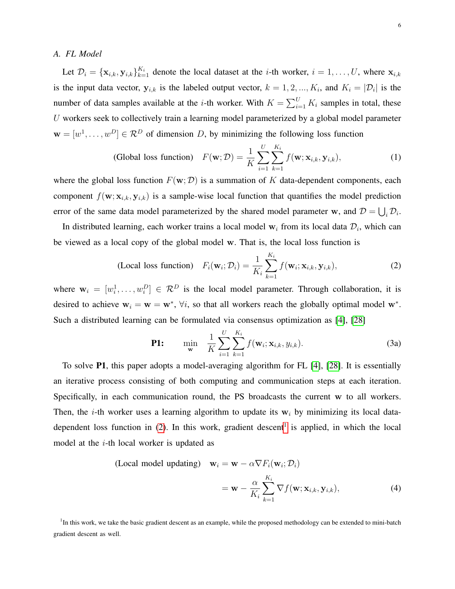#### *A. FL Model*

Let  $\mathcal{D}_i = {\mathbf{x}_{i,k}, \mathbf{y}_{i,k}}_{k=1}^{K_i}$  denote the local dataset at the *i*-th worker,  $i = 1, \ldots, U$ , where  $\mathbf{x}_{i,k}$ is the input data vector,  $y_{i,k}$  is the labeled output vector,  $k = 1, 2, ..., K_i$ , and  $K_i = |\mathcal{D}_i|$  is the number of data samples available at the *i*-th worker. With  $K = \sum_{i=1}^{U} K_i$  samples in total, these  $U$  workers seek to collectively train a learning model parameterized by a global model parameter  $\mathbf{w} = [w^1, \dots, w^D] \in \mathcal{R}^D$  of dimension D, by minimizing the following loss function

(Global loss function) 
$$
F(\mathbf{w}; \mathcal{D}) = \frac{1}{K} \sum_{i=1}^{U} \sum_{k=1}^{K_i} f(\mathbf{w}; \mathbf{x}_{i,k}, \mathbf{y}_{i,k}),
$$
 (1)

where the global loss function  $F(\mathbf{w}; \mathcal{D})$  is a summation of K data-dependent components, each component  $f(\mathbf{w}; \mathbf{x}_{i,k}, \mathbf{y}_{i,k})$  is a sample-wise local function that quantifies the model prediction error of the same data model parameterized by the shared model parameter w, and  $\mathcal{D} = \bigcup_i \mathcal{D}_i$ .

In distributed learning, each worker trains a local model  $w_i$  from its local data  $\mathcal{D}_i$ , which can be viewed as a local copy of the global model w. That is, the local loss function is

<span id="page-5-0"></span>(Local loss function) 
$$
F_i(\mathbf{w}_i; \mathcal{D}_i) = \frac{1}{K_i} \sum_{k=1}^{K_i} f(\mathbf{w}_i; \mathbf{x}_{i,k}, \mathbf{y}_{i,k}),
$$
 (2)

where  $w_i = [w_i^1, \dots, w_i^D] \in \mathcal{R}^D$  is the local model parameter. Through collaboration, it is desired to achieve  $w_i = w = w^*$ ,  $\forall i$ , so that all workers reach the globally optimal model w<sup>\*</sup>. Such a distributed learning can be formulated via consensus optimization as [\[4\]](#page-33-3), [\[28\]](#page-34-9)

<span id="page-5-3"></span>**P1:** 
$$
\min_{\mathbf{w}} \quad \frac{1}{K} \sum_{i=1}^{U} \sum_{k=1}^{K_i} f(\mathbf{w}_i; \mathbf{x}_{i,k}, y_{i,k}).
$$
 (3a)

To solve P1, this paper adopts a model-averaging algorithm for FL [\[4\]](#page-33-3), [\[28\]](#page-34-9). It is essentially an iterative process consisting of both computing and communication steps at each iteration. Specifically, in each communication round, the PS broadcasts the current w to all workers. Then, the *i*-th worker uses a learning algorithm to update its  $w_i$  by minimizing its local datadependent loss function in  $(2)$ . In this work, gradient descent<sup>[1](#page-5-1)</sup> is applied, in which the local model at the i-th local worker is updated as

<span id="page-5-2"></span>(Local model updating) 
$$
\mathbf{w}_i = \mathbf{w} - \alpha \nabla F_i(\mathbf{w}_i; \mathcal{D}_i)
$$
  

$$
= \mathbf{w} - \frac{\alpha}{K_i} \sum_{k=1}^{K_i} \nabla f(\mathbf{w}; \mathbf{x}_{i,k}, \mathbf{y}_{i,k}), \tag{4}
$$

<span id="page-5-1"></span><sup>1</sup>In this work, we take the basic gradient descent as an example, while the proposed methodology can be extended to mini-batch gradient descent as well.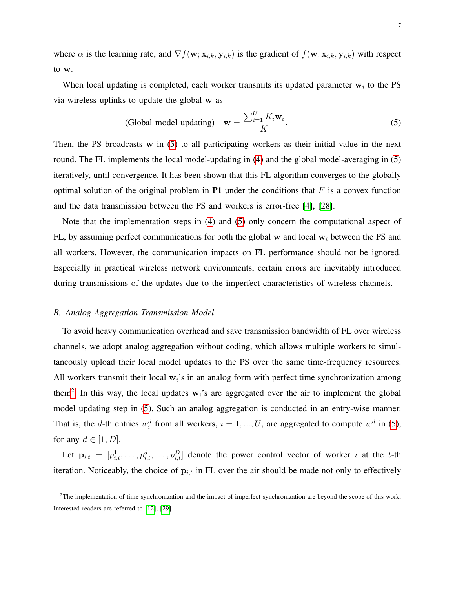where  $\alpha$  is the learning rate, and  $\nabla f(\mathbf{w}; \mathbf{x}_{i,k}, \mathbf{y}_{i,k})$  is the gradient of  $f(\mathbf{w}; \mathbf{x}_{i,k}, \mathbf{y}_{i,k})$  with respect to w.

When local updating is completed, each worker transmits its updated parameter  $w_i$  to the PS via wireless uplinks to update the global w as

<span id="page-6-0"></span>(Global model updating) 
$$
\mathbf{w} = \frac{\sum_{i=1}^{U} K_i \mathbf{w}_i}{K}.
$$
 (5)

Then, the PS broadcasts  $w$  in  $(5)$  to all participating workers as their initial value in the next round. The FL implements the local model-updating in [\(4\)](#page-5-2) and the global model-averaging in [\(5\)](#page-6-0) iteratively, until convergence. It has been shown that this FL algorithm converges to the globally optimal solution of the original problem in **P1** under the conditions that  $F$  is a convex function and the data transmission between the PS and workers is error-free [\[4\]](#page-33-3), [\[28\]](#page-34-9).

Note that the implementation steps in [\(4\)](#page-5-2) and [\(5\)](#page-6-0) only concern the computational aspect of FL, by assuming perfect communications for both the global w and local  $w_i$  between the PS and all workers. However, the communication impacts on FL performance should not be ignored. Especially in practical wireless network environments, certain errors are inevitably introduced during transmissions of the updates due to the imperfect characteristics of wireless channels.

#### *B. Analog Aggregation Transmission Model*

To avoid heavy communication overhead and save transmission bandwidth of FL over wireless channels, we adopt analog aggregation without coding, which allows multiple workers to simultaneously upload their local model updates to the PS over the same time-frequency resources. All workers transmit their local  $w_i$ 's in an analog form with perfect time synchronization among them<sup>[2](#page-6-1)</sup>. In this way, the local updates  $w_i$ 's are aggregated over the air to implement the global model updating step in [\(5\)](#page-6-0). Such an analog aggregation is conducted in an entry-wise manner. That is, the d-th entries  $w_i^d$  from all workers,  $i = 1, ..., U$ , are aggregated to compute  $w^d$  in [\(5\)](#page-6-0), for any  $d \in [1, D]$ .

Let  $\mathbf{p}_{i,t} = [p_{i,t}^1, \dots, p_{i,t}^d, \dots, p_{i,t}^D]$  denote the power control vector of worker i at the t-th iteration. Noticeably, the choice of  $p_{i,t}$  in FL over the air should be made not only to effectively

<span id="page-6-1"></span> $2$ The implementation of time synchronization and the impact of imperfect synchronization are beyond the scope of this work. Interested readers are referred to [\[12\]](#page-33-9), [\[29\]](#page-34-10).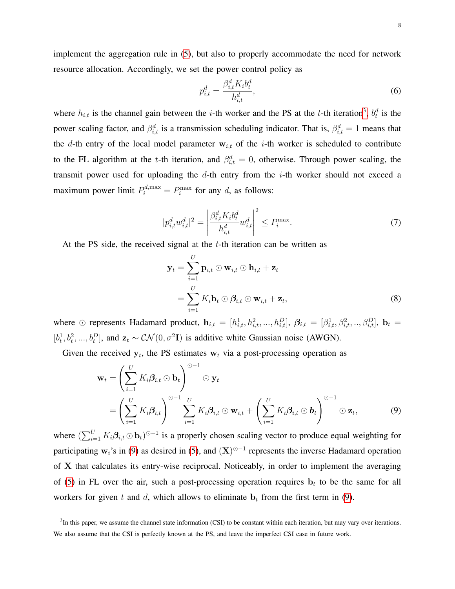implement the aggregation rule in [\(5\)](#page-6-0), but also to properly accommodate the need for network resource allocation. Accordingly, we set the power control policy as

$$
p_{i,t}^d = \frac{\beta_{i,t}^d K_i b_t^d}{h_{i,t}^d},\tag{6}
$$

where  $h_{i,t}$  is the channel gain between the *i*-th worker and the PS at the *t*-th iteration<sup>[3](#page-7-0)</sup>,  $b_t^d$  is the power scaling factor, and  $\beta_{i,t}^d$  is a transmission scheduling indicator. That is,  $\beta_{i,t}^d = 1$  means that the d-th entry of the local model parameter  $w_{i,t}$  of the *i*-th worker is scheduled to contribute to the FL algorithm at the t-th iteration, and  $\beta_{i,t}^d = 0$ , otherwise. Through power scaling, the transmit power used for uploading the  $d$ -th entry from the *i*-th worker should not exceed a maximum power limit  $P_i^{d,\max} = P_i^{\max}$  for any d, as follows:

<span id="page-7-2"></span>
$$
|p_{i,t}^d w_{i,t}^d|^2 = \left| \frac{\beta_{i,t}^d K_i b_t^d}{h_{i,t}^d} w_{i,t}^d \right|^2 \le P_i^{\max}.
$$
 (7)

At the PS side, the received signal at the  $t$ -th iteration can be written as

<span id="page-7-1"></span>
$$
\mathbf{y}_t = \sum_{i=1}^U \mathbf{p}_{i,t} \odot \mathbf{w}_{i,t} \odot \mathbf{h}_{i,t} + \mathbf{z}_t
$$
  
= 
$$
\sum_{i=1}^U K_i \mathbf{b}_t \odot \boldsymbol{\beta}_{i,t} \odot \mathbf{w}_{i,t} + \mathbf{z}_t,
$$
 (8)

where  $\odot$  represents Hadamard product,  $\mathbf{h}_{i,t} = [h_{i,t}^1, h_{i,t}^2, ..., h_{i,t}^D], \boldsymbol{\beta}_{i,t} = [\beta_{i,t}^1, \beta_{i,t}^2, ..., \beta_{i,t}^D], \mathbf{b}_t =$  $[b_t^1, b_t^2, ..., b_t^D]$ , and  $\mathbf{z}_t \sim \mathcal{CN}(0, \sigma^2 \mathbf{I})$  is additive white Gaussian noise (AWGN).

Given the received  $y_t$ , the PS estimates  $w_t$  via a post-processing operation as

$$
\mathbf{w}_t = \left(\sum_{i=1}^U K_i \boldsymbol{\beta}_{i,t} \odot \mathbf{b}_t\right)^{\odot -1} \odot \mathbf{y}_t
$$
  
=  $\left(\sum_{i=1}^U K_i \boldsymbol{\beta}_{i,t}\right)^{\odot -1} \sum_{i=1}^U K_i \boldsymbol{\beta}_{i,t} \odot \mathbf{w}_{i,t} + \left(\sum_{i=1}^U K_i \boldsymbol{\beta}_{i,t} \odot \mathbf{b}_t\right)^{\odot -1} \odot \mathbf{z}_t,$  (9)

where  $(\sum_{i=1}^U K_i \beta_{i,t} \odot \mathbf{b}_t)^{\odot -1}$  is a properly chosen scaling vector to produce equal weighting for participating w<sub>i</sub>'s in [\(9\)](#page-7-1) as desired in [\(5\)](#page-6-0), and  $(X)$ <sup> $\odot$ -1</sup> represents the inverse Hadamard operation of X that calculates its entry-wise reciprocal. Noticeably, in order to implement the averaging of [\(5\)](#page-6-0) in FL over the air, such a post-processing operation requires  $\mathbf{b}_t$  to be the same for all workers for given t and d, which allows to eliminate  $\mathbf{b}_t$  from the first term in [\(9\)](#page-7-1).

<span id="page-7-0"></span> ${}^{3}$ In this paper, we assume the channel state information (CSI) to be constant within each iteration, but may vary over iterations. We also assume that the CSI is perfectly known at the PS, and leave the imperfect CSI case in future work.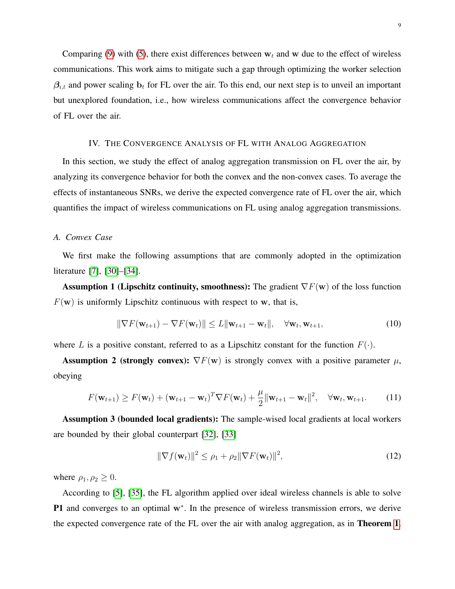Comparing [\(9\)](#page-7-1) with [\(5\)](#page-6-0), there exist differences between  $w_t$  and w due to the effect of wireless communications. This work aims to mitigate such a gap through optimizing the worker selection  $\beta_{i,t}$  and power scaling  $\mathbf{b}_t$  for FL over the air. To this end, our next step is to unveil an important but unexplored foundation, i.e., how wireless communications affect the convergence behavior of FL over the air.

## IV. THE CONVERGENCE ANALYSIS OF FL WITH ANALOG AGGREGATION

<span id="page-8-0"></span>In this section, we study the effect of analog aggregation transmission on FL over the air, by analyzing its convergence behavior for both the convex and the non-convex cases. To average the effects of instantaneous SNRs, we derive the expected convergence rate of FL over the air, which quantifies the impact of wireless communications on FL using analog aggregation transmissions.

#### *A. Convex Case*

We first make the following assumptions that are commonly adopted in the optimization literature [\[7\]](#page-33-6), [\[30\]](#page-34-11)–[\[34\]](#page-34-12).

**Assumption 1 (Lipschitz continuity, smoothness):** The gradient  $\nabla F(\mathbf{w})$  of the loss function  $F(\mathbf{w})$  is uniformly Lipschitz continuous with respect to w, that is,

$$
\|\nabla F(\mathbf{w}_{t+1}) - \nabla F(\mathbf{w}_t)\| \le L \|\mathbf{w}_{t+1} - \mathbf{w}_t\|, \quad \forall \mathbf{w}_t, \mathbf{w}_{t+1},
$$
\n(10)

where L is a positive constant, referred to as a Lipschitz constant for the function  $F(\cdot)$ .

**Assumption 2 (strongly convex):**  $\nabla F(\mathbf{w})$  is strongly convex with a positive parameter  $\mu$ , obeying

$$
F(\mathbf{w}_{t+1}) \geq F(\mathbf{w}_t) + (\mathbf{w}_{t+1} - \mathbf{w}_t)^T \nabla F(\mathbf{w}_t) + \frac{\mu}{2} ||\mathbf{w}_{t+1} - \mathbf{w}_t||^2, \quad \forall \mathbf{w}_t, \mathbf{w}_{t+1}.
$$
 (11)

Assumption 3 (bounded local gradients): The sample-wised local gradients at local workers are bounded by their global counterpart [\[32\]](#page-34-13), [\[33\]](#page-34-14)

<span id="page-8-2"></span><span id="page-8-1"></span>
$$
\|\nabla f(\mathbf{w}_t)\|^2 \le \rho_1 + \rho_2 \|\nabla F(\mathbf{w}_t)\|^2, \tag{12}
$$

where  $\rho_1, \rho_2 \geq 0$ .

According to [\[5\]](#page-33-4), [\[35\]](#page-34-15), the FL algorithm applied over ideal wireless channels is able to solve P1 and converges to an optimal w<sup>\*</sup>. In the presence of wireless transmission errors, we derive the expected convergence rate of the FL over the air with analog aggregation, as in Theorem [1](#page-9-0).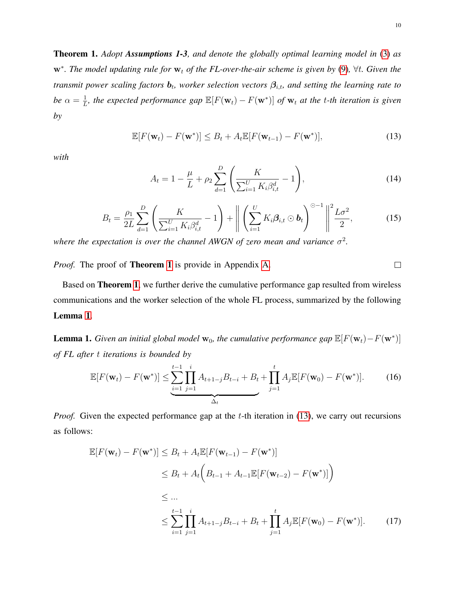<span id="page-9-0"></span>Theorem 1. *Adopt Assumptions 1-3, and denote the globally optimal learning model in* [\(3\)](#page-5-3) *as*  $\mathbf{w}^*$ . The model updating rule for  $\mathbf{w}_t$  of the FL-over-the-air scheme is given by [\(9\)](#page-7-1),  $\forall t$ . Given the *transmit power scaling factors*  $b_t$ , worker selection vectors  $\beta_{i,t}$ , and setting the learning rate to *be*  $\alpha = \frac{1}{I}$  $\frac{1}{L}$ , the expected performance gap  $\mathbb{E}[F(\mathbf{w}_t) - F(\mathbf{w}^*)]$  of  $\mathbf{w}_t$  at the t-th iteration is given *by*

$$
\mathbb{E}[F(\mathbf{w}_t) - F(\mathbf{w}^*)] \le B_t + A_t \mathbb{E}[F(\mathbf{w}_{t-1}) - F(\mathbf{w}^*)],\tag{13}
$$

*with*

$$
A_t = 1 - \frac{\mu}{L} + \rho_2 \sum_{d=1}^{D} \left( \frac{K}{\sum_{i=1}^{U} K_i \beta_{i,t}^d} - 1 \right),
$$
 (14)

$$
B_t = \frac{\rho_1}{2L} \sum_{d=1}^{D} \left( \frac{K}{\sum_{i=1}^{U} K_i \beta_{i,t}^d} - 1 \right) + \left\| \left( \sum_{i=1}^{U} K_i \beta_{i,t} \odot \mathbf{b}_t \right)^{\odot -1} \right\|^2 \frac{L\sigma^2}{2}, \tag{15}
$$

where the expectation is over the channel AWGN of zero mean and variance  $\sigma^2$ .

*Proof.* The proof of Theorem [1](#page-9-0) is provide in Appendix [A.](#page-24-1)

Based on Theorem [1](#page-9-0), we further derive the cumulative performance gap resulted from wireless communications and the worker selection of the whole FL process, summarized by the following Lemma [1](#page-9-1).

<span id="page-9-1"></span>**Lemma 1.** *Given an initial global model*  $\mathbf{w}_0$ , the cumulative performance gap  $\mathbb{E}[F(\mathbf{w}_t)-F(\mathbf{w}^*)]$ *of FL after* t *iterations is bounded by*

$$
\mathbb{E}[F(\mathbf{w}_t) - F(\mathbf{w}^*)] \le \underbrace{\sum_{i=1}^{t-1} \prod_{j=1}^i A_{t+1-j} B_{t-i}}_{\Delta_t} + B_t + \prod_{j=1}^t A_j \mathbb{E}[F(\mathbf{w}_0) - F(\mathbf{w}^*)].
$$
 (16)

*Proof.* Given the expected performance gap at the t-th iteration in [\(13\)](#page-9-2), we carry out recursions as follows:

$$
\mathbb{E}[F(\mathbf{w}_t) - F(\mathbf{w}^*)] \leq B_t + A_t \mathbb{E}[F(\mathbf{w}_{t-1}) - F(\mathbf{w}^*)]
$$
  
\n
$$
\leq B_t + A_t \Big( B_{t-1} + A_{t-1} \mathbb{E}[F(\mathbf{w}_{t-2}) - F(\mathbf{w}^*)] \Big)
$$
  
\n
$$
\leq \dots
$$
  
\n
$$
\leq \sum_{i=1}^{t-1} \prod_{j=1}^i A_{t+1-j} B_{t-i} + B_t + \prod_{j=1}^t A_j \mathbb{E}[F(\mathbf{w}_0) - F(\mathbf{w}^*)].
$$
 (17)

<span id="page-9-5"></span><span id="page-9-4"></span><span id="page-9-3"></span><span id="page-9-2"></span> $\Box$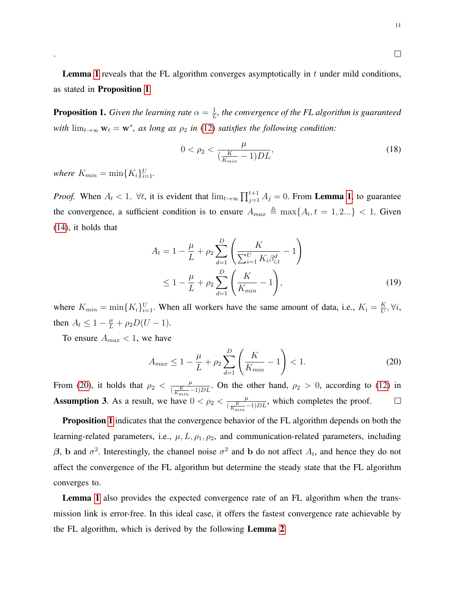**Lemma [1](#page-9-1)** reveals that the FL algorithm converges asymptotically in  $t$  under mild conditions, as stated in Proposition [1](#page-10-0).

<span id="page-10-0"></span>**Proposition 1.** *Given the learning rate*  $\alpha = \frac{1}{I}$  $\frac{1}{L}$ , the convergence of the FL algorithm is guaranteed *with*  $\lim_{t\to\infty} w_t = w^*$ , as long as  $\rho_2$  *in* [\(12\)](#page-8-1) *satisfies the following condition:* 

$$
0 < \rho_2 < \frac{\mu}{\left(\frac{K}{K_{min}} - 1\right)DL},\tag{18}
$$

*where*  $K_{min} = \min\{K_i\}_{i=1}^U$ .

.

*Proof.* When  $A_t < 1$  $A_t < 1$ ,  $\forall t$ , it is evident that  $\lim_{t\to\infty} \prod_{j=1}^{t+1} A_j = 0$ . From **Lemma 1**, to guarantee the convergence, a sufficient condition is to ensure  $A_{max} \triangleq \max\{A_t, t = 1, 2...\} < 1$ . Given [\(14\)](#page-9-3), it holds that

$$
A_{t} = 1 - \frac{\mu}{L} + \rho_{2} \sum_{d=1}^{D} \left( \frac{K}{\sum_{i=1}^{U} K_{i} \beta_{i,t}^{d}} - 1 \right)
$$
  

$$
\leq 1 - \frac{\mu}{L} + \rho_{2} \sum_{d=1}^{D} \left( \frac{K}{K_{min}} - 1 \right),
$$
 (19)

where  $K_{min} = \min\{K_i\}_{i=1}^U$ . When all workers have the same amount of data, i.e.,  $K_i = \frac{K}{U}$  $\frac{K}{U}, \forall i,$ then  $A_t \leq 1 - \frac{\mu}{L} + \rho_2 D(U - 1)$ .

To ensure  $A_{max}$  < 1, we have

<span id="page-10-1"></span>
$$
A_{max} \le 1 - \frac{\mu}{L} + \rho_2 \sum_{d=1}^{D} \left( \frac{K}{K_{min}} - 1 \right) < 1. \tag{20}
$$

From [\(20\)](#page-10-1), it holds that  $\rho_2 < \frac{\mu}{(K+1)^2}$  $\frac{\mu}{(\frac{K}{K_{min}}-1)DL}$ . On the other hand,  $\rho_2 > 0$ , according to [\(12\)](#page-8-1) in **Assumption 3.** As a result, we have  $0 < \rho_2 < \frac{\mu}{1 - K}$ .  $\frac{\mu}{(\frac{K}{K_{min}}-1)DL}$ , which completes the proof.  $\Box$ 

**Proposition [1](#page-10-0)** indicates that the convergence behavior of the FL algorithm depends on both the learning-related parameters, i.e.,  $\mu$ ,  $L$ ,  $\rho$ <sub>1</sub>,  $\rho$ <sub>2</sub>, and communication-related parameters, including β, b and  $\sigma^2$ . Interestingly, the channel noise  $\sigma^2$  and b do not affect  $A_t$ , and hence they do not affect the convergence of the FL algorithm but determine the steady state that the FL algorithm converges to.

Lemma [1](#page-9-1) also provides the expected convergence rate of an FL algorithm when the transmission link is error-free. In this ideal case, it offers the fastest convergence rate achievable by the FL algorithm, which is derived by the following Lemma [2](#page-11-0).

<span id="page-10-2"></span> $\Box$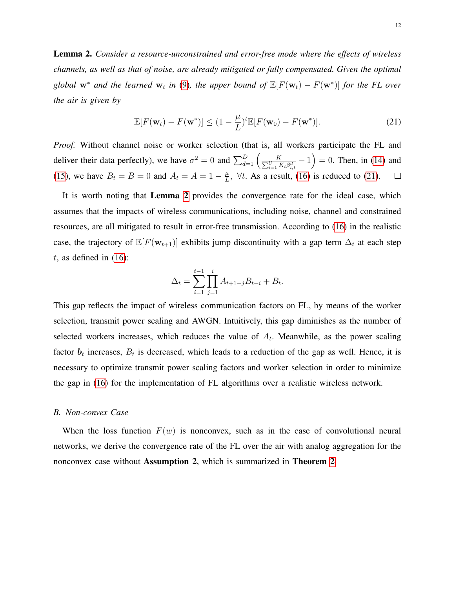<span id="page-11-0"></span>Lemma 2. *Consider a resource-unconstrained and error-free mode where the effects of wireless channels, as well as that of noise, are already mitigated or fully compensated. Given the optimal global*  $w^*$  *and the learned*  $w_t$  *in* [\(9\)](#page-7-1)*, the upper bound of*  $\mathbb{E}[F(w_t) - F(w^*)]$  *for the FL over the air is given by*

<span id="page-11-1"></span>
$$
\mathbb{E}[F(\mathbf{w}_t) - F(\mathbf{w}^*)] \le (1 - \frac{\mu}{L})^t \mathbb{E}[F(\mathbf{w}_0) - F(\mathbf{w}^*)]. \tag{21}
$$

*Proof.* Without channel noise or worker selection (that is, all workers participate the FL and deliver their data perfectly), we have  $\sigma^2 = 0$  and  $\sum_{d=1}^{D} \left( \frac{1}{\sum_{d=1}^{D}} \right)$  $\frac{K}{\sum\limits_{i=1}^{U} K_i \beta_{i,t}^d} - 1$  = 0. Then, in [\(14\)](#page-9-3) and [\(15\)](#page-9-4), we have  $B_t = B = 0$  and  $A_t = A = 1 - \frac{\mu}{L}$  $\frac{\mu}{L}$ ,  $\forall t$ . As a result, [\(16\)](#page-9-5) is reduced to [\(21\)](#page-11-1).  $\Box$ 

It is worth noting that Lemma [2](#page-11-0) provides the convergence rate for the ideal case, which assumes that the impacts of wireless communications, including noise, channel and constrained resources, are all mitigated to result in error-free transmission. According to [\(16\)](#page-9-5) in the realistic case, the trajectory of  $\mathbb{E}[F(\mathbf{w}_{t+1})]$  exhibits jump discontinuity with a gap term  $\Delta_t$  at each step  $t$ , as defined in [\(16\)](#page-9-5):

$$
\Delta_t = \sum_{i=1}^{t-1} \prod_{j=1}^i A_{t+1-j} B_{t-i} + B_t.
$$

This gap reflects the impact of wireless communication factors on FL, by means of the worker selection, transmit power scaling and AWGN. Intuitively, this gap diminishes as the number of selected workers increases, which reduces the value of  $A_t$ . Meanwhile, as the power scaling factor  $b_t$  increases,  $B_t$  is decreased, which leads to a reduction of the gap as well. Hence, it is necessary to optimize transmit power scaling factors and worker selection in order to minimize the gap in [\(16\)](#page-9-5) for the implementation of FL algorithms over a realistic wireless network.

#### *B. Non-convex Case*

When the loss function  $F(w)$  is nonconvex, such as in the case of convolutional neural networks, we derive the convergence rate of the FL over the air with analog aggregation for the nonconvex case without Assumption 2, which is summarized in Theorem [2](#page-12-0).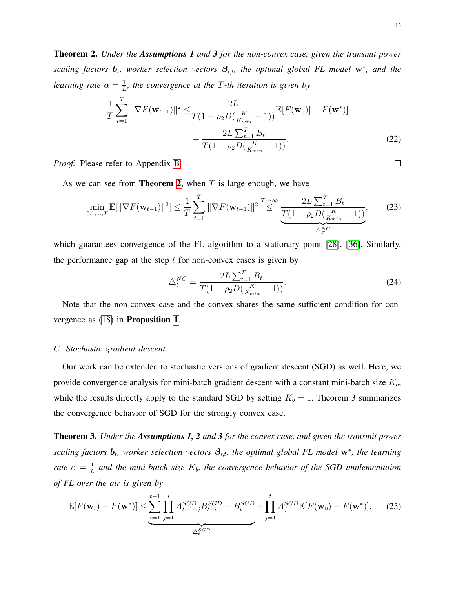<span id="page-12-0"></span>Theorem 2. *Under the Assumptions 1 and 3 for the non-convex case, given the transmit power scaling factors*  $\mathbf{b}_t$ , worker selection vectors  $\beta_{i,t}$ , the optimal global FL model w<sup>\*</sup>, and the *learning rate*  $\alpha = \frac{1}{I}$  $\frac{1}{L}$ , the convergence at the T-th iteration is given by

$$
\frac{1}{T} \sum_{t=1}^{T} \|\nabla F(\mathbf{w}_{t-1})\|^2 \le \frac{2L}{T(1 - \rho_2 D(\frac{K}{K_{min}} - 1))} \mathbb{E}[F(\mathbf{w}_0)] - F(\mathbf{w}^*)] + \frac{2L \sum_{t=1}^{T} B_t}{T(1 - \rho_2 D(\frac{K}{K_{min}} - 1))}.
$$
\n(22)

*Proof.* Please refer to Appendix [B.](#page-29-0)

As we can see from **Theorem [2](#page-12-0)**, when  $T$  is large enough, we have

$$
\min_{0,1,\dots,T} \mathbb{E}[\|\nabla F(\mathbf{w}_{t-1})\|^2] \le \frac{1}{T} \sum_{t=1}^T \|\nabla F(\mathbf{w}_{t-1})\|^2 \stackrel{T \to \infty}{\le} \underbrace{\frac{2L \sum_{t=1}^T B_t}{T(1 - \rho_2 D(\frac{K}{K_{min}} - 1))}},\tag{23}
$$

which guarantees convergence of the FL algorithm to a stationary point [\[28\]](#page-34-9), [\[36\]](#page-34-16). Similarly, the performance gap at the step  $t$  for non-convex cases is given by

$$
\triangle_t^{NC} = \frac{2L\sum_{t=1}^T B_t}{T(1 - \rho_2 D(\frac{K}{K_{min}} - 1))}.
$$
\n(24)

Note that the non-convex case and the convex shares the same sufficient condition for convergence as [\(18\)](#page-10-2) in Proposition [1](#page-10-0).

#### *C. Stochastic gradient descent*

Our work can be extended to stochastic versions of gradient descent (SGD) as well. Here, we provide convergence analysis for mini-batch gradient descent with a constant mini-batch size  $K_b$ , while the results directly apply to the standard SGD by setting  $K_b = 1$ . Theorem 3 summarizes the convergence behavior of SGD for the strongly convex case.

<span id="page-12-1"></span>Theorem 3. *Under the Assumptions 1, 2 and 3 for the convex case, and given the transmit power scaling factors*  $\mathbf{b}_t$ , worker selection vectors  $\beta_{i,t}$ , the optimal global FL model w<sup>\*</sup>, the learning *rate*  $\alpha = \frac{1}{L}$  $\frac{1}{L}$  and the mini-batch size  $K_b$ , the convergence behavior of the SGD implementation *of FL over the air is given by*

$$
\mathbb{E}[F(\mathbf{w}_t) - F(\mathbf{w}^*)] \le \sum_{i=1}^{t-1} \prod_{j=1}^i A_{t+1-j}^{SGD} B_{t-i}^{SGD} + B_t^{SGD} + \prod_{j=1}^t A_j^{SGD} \mathbb{E}[F(\mathbf{w}_0) - F(\mathbf{w}^*)], \quad (25)
$$

 $\Box$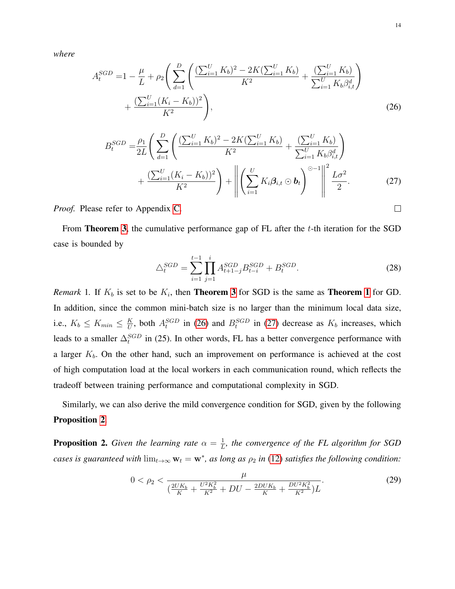*where*

$$
A_t^{SGD} = 1 - \frac{\mu}{L} + \rho_2 \left( \sum_{d=1}^D \left( \frac{(\sum_{i=1}^U K_b)^2 - 2K(\sum_{i=1}^U K_b)}{K^2} + \frac{(\sum_{i=1}^U K_b \beta_{i,t}^d)}{\sum_{i=1}^U K_b \beta_{i,t}^d} \right) + \frac{(\sum_{i=1}^U (K_i - K_b))^2}{K^2} \right),
$$
\n(26)

$$
B_t^{SGD} = \frac{\rho_1}{2L} \left( \sum_{d=1}^D \left( \frac{(\sum_{i=1}^U K_b)^2 - 2K(\sum_{i=1}^U K_b)}{K^2} + \frac{(\sum_{i=1}^U K_b)^2}{\sum_{i=1}^U K_b \beta_{i,t}^d} \right) + \frac{(\sum_{i=1}^U K_b)^2}{K^2} \right) + \left\| \left( \sum_{i=1}^U K_i \beta_{i,t} \odot \mathbf{b}_t \right)^{\odot -1} \right\|^2 \frac{L\sigma^2}{2}.
$$
 (27)

*Proof.* Please refer to Appendix [C.](#page-30-0)

From **Theorem [3](#page-12-1)**, the cumulative performance gap of FL after the  $t$ -th iteration for the SGD case is bounded by

$$
\triangle_t^{SGD} = \sum_{i=1}^{t-1} \prod_{j=1}^i A_{t+1-j}^{SGD} B_{t-i}^{SGD} + B_t^{SGD}.
$$
\n(28)

*Remark* [1](#page-9-0). If  $K_b$  is set to be  $K_i$ , then **Theorem [3](#page-12-1)** for SGD is the same as **Theorem 1** for GD. In addition, since the common mini-batch size is no larger than the minimum local data size, i.e.,  $K_b \leq K_{min} \leq \frac{K}{U}$  $\frac{K}{U}$ , both  $A_t^{SGD}$  in [\(26\)](#page-13-0) and  $B_t^{SGD}$  in [\(27\)](#page-13-1) decrease as  $K_b$  increases, which leads to a smaller  $\Delta_t^{SGD}$  in (25). In other words, FL has a better convergence performance with a larger  $K_b$ . On the other hand, such an improvement on performance is achieved at the cost of high computation load at the local workers in each communication round, which reflects the tradeoff between training performance and computational complexity in SGD.

Similarly, we can also derive the mild convergence condition for SGD, given by the following Proposition [2](#page-13-2).

<span id="page-13-2"></span>**Proposition 2.** *Given the learning rate*  $\alpha = \frac{1}{I}$  $\frac{1}{L}$ , the convergence of the FL algorithm for SGD *cases is guaranteed with*  $\lim_{t\to\infty} w_t = w^*$ , as long as  $\rho_2$  *in* [\(12\)](#page-8-1) *satisfies the following condition:* 

<span id="page-13-3"></span>
$$
0 < \rho_2 < \frac{\mu}{\left(\frac{2UK_b}{K} + \frac{U^2 K_b^2}{K^2} + DU - \frac{2DUK_b}{K} + \frac{DU^2 K_b^2}{K^2}\right)L}.\tag{29}
$$

<span id="page-13-1"></span><span id="page-13-0"></span> $\Box$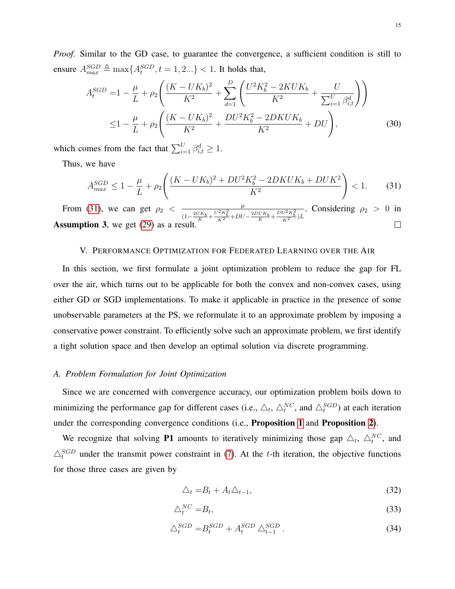*Proof.* Similar to the GD case, to guarantee the convergence, a sufficient condition is still to ensure  $A_{max}^{SGD} \triangleq \max\{A_t^{SGD}, t = 1, 2...\} < 1$ . It holds that,

$$
A_t^{SGD} = 1 - \frac{\mu}{L} + \rho_2 \left( \frac{(K - UK_b)^2}{K^2} + \sum_{d=1}^D \left( \frac{U^2 K_b^2 - 2KUK_b}{K^2} + \frac{U}{\sum_{i=1}^U \beta_{i,t}^d} \right) \right)
$$
  

$$
\leq 1 - \frac{\mu}{L} + \rho_2 \left( \frac{(K - UK_b)^2}{K^2} + \frac{DU^2 K_b^2 - 2DKUK_b}{K^2} + DU \right),
$$
 (30)

which comes from the fact that  $\sum_{i=1}^{U} \beta_{i,t}^d \ge 1$ .

Thus, we have

<span id="page-14-1"></span>
$$
A_{max}^{SGD} \le 1 - \frac{\mu}{L} + \rho_2 \left( \frac{(K - UK_b)^2 + DU^2 K_b^2 - 2DKUK_b + DUK^2}{K^2} \right) < 1. \tag{31}
$$

From [\(31\)](#page-14-1), we can get  $\rho_2 < \frac{\mu}{\sqrt{U K_L - U^2 K^2}}$  $\frac{\mu}{(1-\frac{2UK_b}{K}+\frac{U^2K_b^2}{K^2}+DU-\frac{2DUK_b}{K}+\frac{DU^2K_b^2}{K^2})L}$ . Considering  $\rho_2 > 0$  in Assumption 3, we get [\(29\)](#page-13-3) as a result.  $\Box$ 

#### V. PERFORMANCE OPTIMIZATION FOR FEDERATED LEARNING OVER THE AIR

<span id="page-14-0"></span>In this section, we first formulate a joint optimization problem to reduce the gap for FL over the air, which turns out to be applicable for both the convex and non-convex cases, using either GD or SGD implementations. To make it applicable in practice in the presence of some unobservable parameters at the PS, we reformulate it to an approximate problem by imposing a conservative power constraint. To efficiently solve such an approximate problem, we first identify a tight solution space and then develop an optimal solution via discrete programming.

#### *A. Problem Formulation for Joint Optimization*

Since we are concerned with convergence accuracy, our optimization problem boils down to minimizing the performance gap for different cases (i.e.,  $\triangle_t$ ,  $\triangle_t^{NC}$ , and  $\triangle_t^{SGD}$ ) at each iteration under the corresponding convergence conditions (i.e., Proposition [1](#page-10-0) and Proposition [2](#page-13-2)).

We recognize that solving P1 amounts to iteratively minimizing those gap  $\triangle_t$ ,  $\triangle_t^{NC}$ , and  $\triangle_t^{SGD}$  under the transmit power constraint in [\(7\)](#page-7-2). At the t-th iteration, the objective functions for those three cases are given by

<span id="page-14-4"></span><span id="page-14-3"></span><span id="page-14-2"></span>
$$
\Delta_t = B_t + A_t \Delta_{t-1},\tag{32}
$$

$$
\triangle_t^{NC} = B_t,\tag{33}
$$

$$
\triangle_t^{SGD} = B_t^{SGD} + A_t^{SGD} \triangle_{t-1}^{SGD} . \tag{34}
$$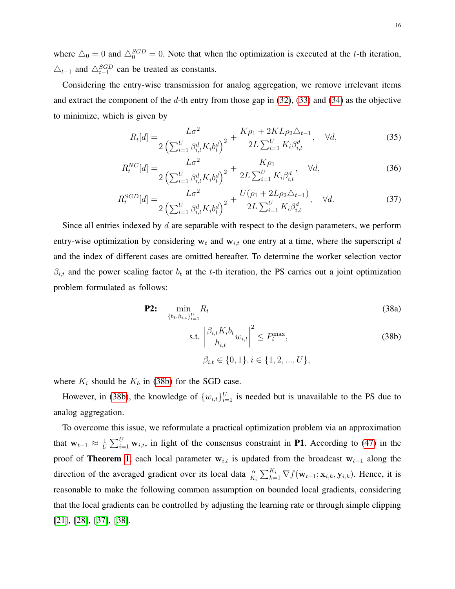where  $\Delta_0 = 0$  and  $\Delta_0^{SGD} = 0$ . Note that when the optimization is executed at the t-th iteration,  $\triangle_{t-1}$  and  $\triangle_{t-1}^{SGD}$  can be treated as constants.

Considering the entry-wise transmission for analog aggregation, we remove irrelevant items and extract the component of the d-th entry from those gap in  $(32)$ ,  $(33)$  and  $(34)$  as the objective to minimize, which is given by

<span id="page-15-3"></span><span id="page-15-1"></span>
$$
R_t[d] = \frac{L\sigma^2}{2\left(\sum_{i=1}^U \beta_{i,t}^d K_i b_t^d\right)^2} + \frac{K\rho_1 + 2KL\rho_2 \Delta_{t-1}}{2L \sum_{i=1}^U K_i \beta_{i,t}^d}, \quad \forall d,
$$
\n(35)

$$
R_t^{NC}[d] = \frac{L\sigma^2}{2\left(\sum_{i=1}^U \beta_{i,t}^d K_i b_t^d\right)^2} + \frac{K\rho_1}{2L\sum_{i=1}^U K_i \beta_{i,t}^d}, \quad \forall d,
$$
\n(36)

$$
R_t^{SGD}[d] = \frac{L\sigma^2}{2\left(\sum_{i=1}^U \beta_{i,t}^d K_i b_t^d\right)^2} + \frac{U(\rho_1 + 2L\rho_2 \Delta_{t-1})}{2L \sum_{i=1}^U K_i \beta_{i,t}^d}, \quad \forall d. \tag{37}
$$

Since all entries indexed by  $d$  are separable with respect to the design parameters, we perform entry-wise optimization by considering  $w_t$  and  $w_{i,t}$  one entry at a time, where the superscript d and the index of different cases are omitted hereafter. To determine the worker selection vector  $\beta_{i,t}$  and the power scaling factor  $b_t$  at the t-th iteration, the PS carries out a joint optimization problem formulated as follows:

$$
\textbf{P2:} \quad \min_{\{b_t, \beta_{i,t}\}_{i=1}^U} R_t \tag{38a}
$$

<span id="page-15-2"></span><span id="page-15-0"></span>s.t. 
$$
\left| \frac{\beta_{i,t} K_i b_t}{h_{i,t}} w_{i,t} \right|^2 \le P_i^{\max},
$$
  
\n
$$
\beta_{i,t} \in \{0, 1\}, i \in \{1, 2, ..., U\},
$$
\n(38b)

where  $K_i$  should be  $K_b$  in [\(38b\)](#page-15-0) for the SGD case.

However, in [\(38b\)](#page-15-0), the knowledge of  $\{w_{i,t}\}_{i=1}^U$  is needed but is unavailable to the PS due to analog aggregation.

To overcome this issue, we reformulate a practical optimization problem via an approximation that  $\mathbf{w}_{t-1} \approx \frac{1}{U}$  $\frac{1}{U} \sum_{i=1}^{U} \mathbf{w}_{i,t}$ , in light of the consensus constraint in **P1**. According to [\(47\)](#page-24-2) in the proof of Theorem [1](#page-9-0), each local parameter  $w_{i,t}$  is updated from the broadcast  $w_{t-1}$  along the direction of the averaged gradient over its local data  $\frac{\alpha}{K_i} \sum_{k=1}^{K_i} \nabla f(\mathbf{w}_{t-1}; \mathbf{x}_{i,k}, \mathbf{y}_{i,k})$ . Hence, it is reasonable to make the following common assumption on bounded local gradients, considering that the local gradients can be controlled by adjusting the learning rate or through simple clipping [\[21\]](#page-34-3), [\[28\]](#page-34-9), [\[37\]](#page-34-17), [\[38\]](#page-35-0).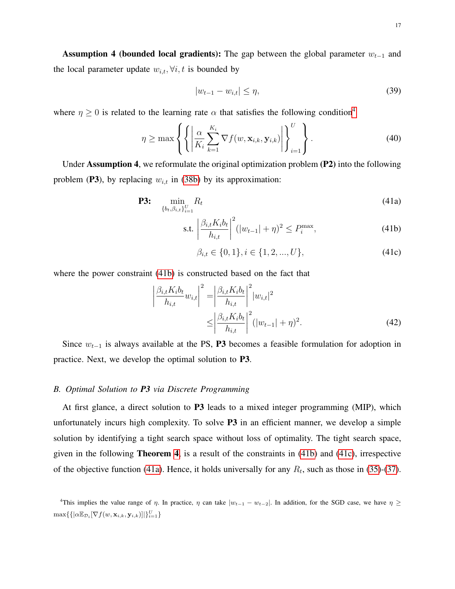Assumption 4 (bounded local gradients): The gap between the global parameter  $w_{t-1}$  and the local parameter update  $w_{i,t}$ ,  $\forall i, t$  is bounded by

$$
|w_{t-1} - w_{i,t}| \le \eta,\tag{39}
$$

where  $\eta \geq 0$  is related to the learning rate  $\alpha$  that satisfies the following condition<sup>[4](#page-16-0)</sup>

$$
\eta \ge \max \left\{ \left\{ \left| \frac{\alpha}{K_i} \sum_{k=1}^{K_i} \nabla f(w, \mathbf{x}_{i,k}, \mathbf{y}_{i,k}) \right| \right\}_{i=1}^U \right\}.
$$
\n(40)

Under Assumption 4, we reformulate the original optimization problem (P2) into the following problem (P3), by replacing  $w_{i,t}$  in [\(38b\)](#page-15-0) by its approximation:

$$
\textbf{P3:} \quad \min_{\{b_t, \beta_{i,t}\}_{i=1}^U} R_t \tag{41a}
$$

s.t. 
$$
\left| \frac{\beta_{i,t} K_i b_t}{h_{i,t}} \right|^2 (|w_{t-1}| + \eta)^2 \le P_i^{\max},
$$
 (41b)

<span id="page-16-3"></span><span id="page-16-2"></span><span id="page-16-1"></span>
$$
\beta_{i,t} \in \{0, 1\}, i \in \{1, 2, ..., U\},\tag{41c}
$$

where the power constraint [\(41b\)](#page-16-1) is constructed based on the fact that

$$
\left| \frac{\beta_{i,t} K_i b_t}{h_{i,t}} w_{i,t} \right|^2 = \left| \frac{\beta_{i,t} K_i b_t}{h_{i,t}} \right|^2 |w_{i,t}|^2
$$
  

$$
\leq \left| \frac{\beta_{i,t} K_i b_t}{h_{i,t}} \right|^2 (|w_{t-1}| + \eta)^2.
$$
 (42)

Since  $w_{t-1}$  is always available at the PS, P3 becomes a feasible formulation for adoption in practice. Next, we develop the optimal solution to P3.

#### *B. Optimal Solution to P3 via Discrete Programming*

At first glance, a direct solution to P3 leads to a mixed integer programming (MIP), which unfortunately incurs high complexity. To solve P3 in an efficient manner, we develop a simple solution by identifying a tight search space without loss of optimality. The tight search space, given in the following Theorem [4](#page-17-0), is a result of the constraints in [\(41b\)](#page-16-1) and [\(41c\)](#page-16-2), irrespective of the objective function [\(41a\)](#page-16-3). Hence, it holds universally for any  $R_t$ , such as those in [\(35\)](#page-15-1)-[\(37\)](#page-15-2).

<span id="page-16-0"></span><sup>&</sup>lt;sup>4</sup>This implies the value range of  $\eta$ . In practice,  $\eta$  can take  $|w_{t-1} - w_{t-2}|$ . In addition, for the SGD case, we have  $\eta \ge$  $\max\{\{|\alpha \mathbb{E}_{\mathcal{D}_i}[\nabla f(w,\mathbf{x}_{i,k},\mathbf{y}_{i,k})]|\}_{i=1}^U\}$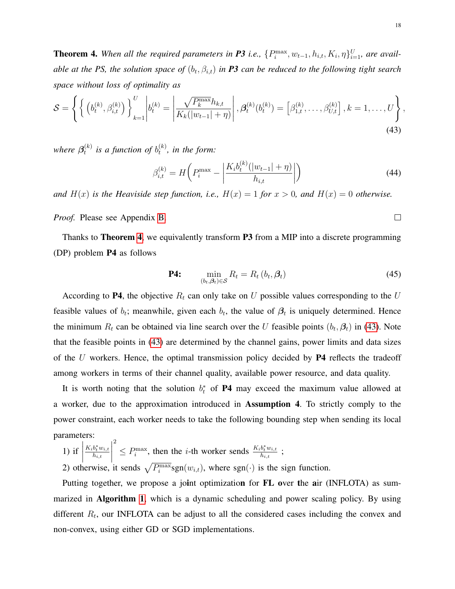<span id="page-17-0"></span>**Theorem 4.** When all the required parameters in **P3** i.e.,  $\{P_i^{\max}, w_{t-1}, h_{i,t}, K_i, \eta\}_{i=1}^U$ , are available at the PS, the solution space of  $(b_t, \beta_{i,t})$  in **P3** can be reduced to the following tight search *space without loss of optimality as*

$$
S = \left\{ \left\{ \left( b_t^{(k)}, \beta_{i,t}^{(k)} \right) \right\}_{k=1}^U \middle| b_t^{(k)} = \left| \frac{\sqrt{P_k^{\max}} h_{k,t}}{K_k(|w_{t-1}| + \eta)} \right|, \beta_t^{(k)}(b_t^{(k)}) = \left[ \beta_{1,t}^{(k)}, \dots, \beta_{U,t}^{(k)} \right], k = 1, \dots, U \right\},\tag{43}
$$

where  $\pmb{\beta}_t^{(k)}$  $t_t^{(k)}$  is a function of  $b_t^{(k)}$  $t^{(\kappa)}$ , in the form:

$$
\beta_{i,t}^{(k)} = H\bigg(P_i^{\max} - \left|\frac{K_i b_t^{(k)}(|w_{t-1}| + \eta)}{h_{i,t}}\right|\bigg) \tag{44}
$$

*and*  $H(x)$  *is the Heaviside step function, i.e.,*  $H(x) = 1$  *for*  $x > 0$ *, and*  $H(x) = 0$  *otherwise.* 

*Proof.* Please see Appendix [B.](#page-29-0)

Thanks to **Theorem [4](#page-17-0)**, we equivalently transform **P3** from a MIP into a discrete programming (DP) problem P4 as follows

$$
\mathbf{P4:} \qquad \min_{(b_t, \beta_t) \in \mathcal{S}} R_t = R_t \left( b_t, \beta_t \right) \tag{45}
$$

According to P4, the objective  $R_t$  can only take on U possible values corresponding to the U feasible values of  $b_t$ ; meanwhile, given each  $b_t$ , the value of  $\beta_t$  is uniquely determined. Hence the minimum  $R_t$  can be obtained via line search over the U feasible points  $(b_t, \beta_t)$  in [\(43\)](#page-17-1). Note that the feasible points in [\(43\)](#page-17-1) are determined by the channel gains, power limits and data sizes of the U workers. Hence, the optimal transmission policy decided by  $P4$  reflects the tradeoff among workers in terms of their channel quality, available power resource, and data quality.

It is worth noting that the solution  $b_t^*$  of P4 may exceed the maximum value allowed at a worker, due to the approximation introduced in Assumption 4. To strictly comply to the power constraint, each worker needs to take the following bounding step when sending its local parameters:

1) if  $\begin{array}{c} \begin{array}{c} \begin{array}{c} \end{array} \\ \begin{array}{c} \end{array} \end{array} \end{array}$  $K_i b_t^* w_{i,t}$  $h_{i,t}$  $\begin{array}{c} \begin{array}{c} \begin{array}{c} \end{array} \\ \begin{array}{c} \end{array} \end{array} \end{array}$ 2  $\leq P_i^{\max}$ , then the *i*-th worker sends  $\frac{K_i b_t^* w_{i,t}}{h_{i,t}}$  $\frac{\partial_t w_{i,t}}{h_{i,t}}$  ;

2) otherwise, it sends  $\sqrt{P_i^{\max}}$ sgn $(w_{i,t})$ , where sgn $(\cdot)$  is the sign function.

Putting together, we propose a joint optimization for FL over the air (INFLOTA) as summarized in **Algorithm [1](#page-18-0)**, which is a dynamic scheduling and power scaling policy. By using different  $R_t$ , our INFLOTA can be adjust to all the considered cases including the convex and non-convex, using either GD or SGD implementations.

<span id="page-17-2"></span><span id="page-17-1"></span> $\Box$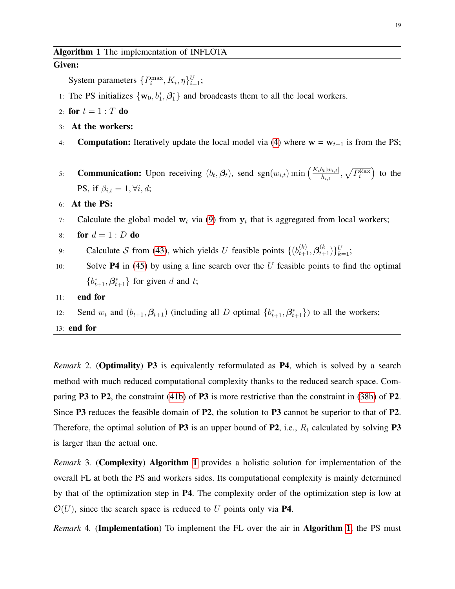#### <span id="page-18-0"></span>Given:

System parameters  $\{P_i^{\max}, K_i, \eta\}_{i=1}^U$ ;

- 1: The PS initializes  $\{w_0, b_1^*, \beta_1^*\}$  and broadcasts them to all the local workers.
- 2: for  $t = 1 : T$  do
- 3: At the workers:
- 4: **Computation:** Iteratively update the local model via [\(4\)](#page-5-2) where  $w = w_{t-1}$  is from the PS;
- 5: **Communication:** Upon receiving  $(b_t, \beta_t)$ , send sgn $(w_{i,t})$  min  $\left(\frac{K_i b_t |w_{i,t}|}{h_{i,t}}\right)$  $\frac{\partial h|w_{i,t}|}{h_{i,t}}, \sqrt{P_i^{\text{Max}}}\Big)$  to the PS, if  $\beta_{i,t} = 1, \forall i, d;$

#### 6: At the PS:

- 7: Calculate the global model  $w_t$  via [\(9\)](#page-7-1) from  $y_t$  that is aggregated from local workers;
- 8: for  $d=1:D$  do
- 9: Calculate S from [\(43\)](#page-17-1), which yields U feasible points  $\{(b_{t+1}^{(k)}, \beta_{t+1}^{(k)})\}_{k=1}^{U}$ ;
- 10: Solve **P4** in [\(45\)](#page-17-2) by using a line search over the  $U$  feasible points to find the optimal  ${b_{t+1}^*, \beta_{t+1}^*}$  for given d and t;
- 11: end for
- 12: Send  $w_t$  and  $(b_{t+1}, \beta_{t+1})$  (including all D optimal  $\{b_{t+1}^*, \beta_{t+1}^*\}$ ) to all the workers;
- 13: end for

*Remark* 2*.* (Optimality) P3 is equivalently reformulated as P4, which is solved by a search method with much reduced computational complexity thanks to the reduced search space. Comparing P3 to P2, the constraint [\(41b\)](#page-16-1) of P3 is more restrictive than the constraint in [\(38b\)](#page-15-0) of P2. Since P3 reduces the feasible domain of P2, the solution to P3 cannot be superior to that of P2. Therefore, the optimal solution of P3 is an upper bound of P2, i.e.,  $R_t$  calculated by solving P3 is larger than the actual one.

*Remark* 3*.* (Complexity) Algorithm [1](#page-18-0) provides a holistic solution for implementation of the overall FL at both the PS and workers sides. Its computational complexity is mainly determined by that of the optimization step in P4. The complexity order of the optimization step is low at  $\mathcal{O}(U)$ , since the search space is reduced to U points only via **P4**.

*Remark* 4*.* (Implementation) To implement the FL over the air in Algorithm [1](#page-18-0), the PS must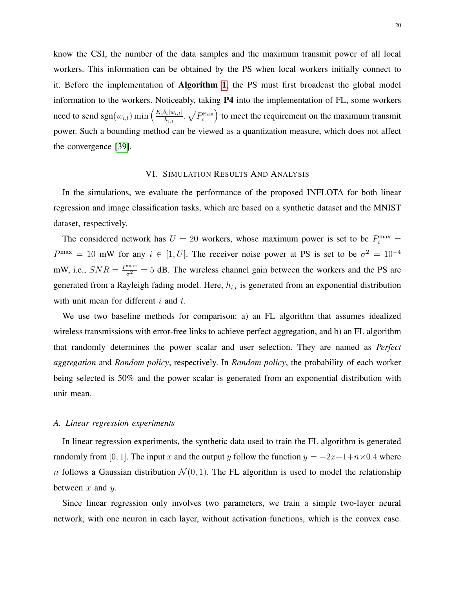know the CSI, the number of the data samples and the maximum transmit power of all local workers. This information can be obtained by the PS when local workers initially connect to it. Before the implementation of Algorithm [1](#page-18-0), the PS must first broadcast the global model information to the workers. Noticeably, taking P4 into the implementation of FL, some workers need to send sgn $(w_{i,t})$  min  $\left(\frac{K_i b_t|w_{i,t}|}{h_{i,t}}\right)$  $\frac{\partial h_t|w_{i,t}|}{h_{i,t}}, \sqrt{P_i^{\text{Max}}}\right)$  to meet the requirement on the maximum transmit power. Such a bounding method can be viewed as a quantization measure, which does not affect the convergence [\[39\]](#page-35-1).

# VI. SIMULATION RESULTS AND ANALYSIS

<span id="page-19-0"></span>In the simulations, we evaluate the performance of the proposed INFLOTA for both linear regression and image classification tasks, which are based on a synthetic dataset and the MNIST dataset, respectively.

The considered network has  $U = 20$  workers, whose maximum power is set to be  $P_i^{\max} =$  $P^{\max} = 10$  mW for any  $i \in [1, U]$ . The receiver noise power at PS is set to be  $\sigma^2 = 10^{-4}$ mW, i.e.,  $SNR = \frac{P_{\text{max}}}{\sigma^2} = 5$  dB. The wireless channel gain between the workers and the PS are generated from a Rayleigh fading model. Here,  $h_{i,t}$  is generated from an exponential distribution with unit mean for different  $i$  and  $t$ .

We use two baseline methods for comparison: a) an FL algorithm that assumes idealized wireless transmissions with error-free links to achieve perfect aggregation, and b) an FL algorithm that randomly determines the power scalar and user selection. They are named as *Perfect aggregation* and *Random policy*, respectively. In *Random policy*, the probability of each worker being selected is 50% and the power scalar is generated from an exponential distribution with unit mean.

#### *A. Linear regression experiments*

In linear regression experiments, the synthetic data used to train the FL algorithm is generated randomly from [0, 1]. The input x and the output y follow the function  $y = -2x+1+n\times 0.4$  where n follows a Gaussian distribution  $\mathcal{N}(0, 1)$ . The FL algorithm is used to model the relationship between  $x$  and  $y$ .

Since linear regression only involves two parameters, we train a simple two-layer neural network, with one neuron in each layer, without activation functions, which is the convex case.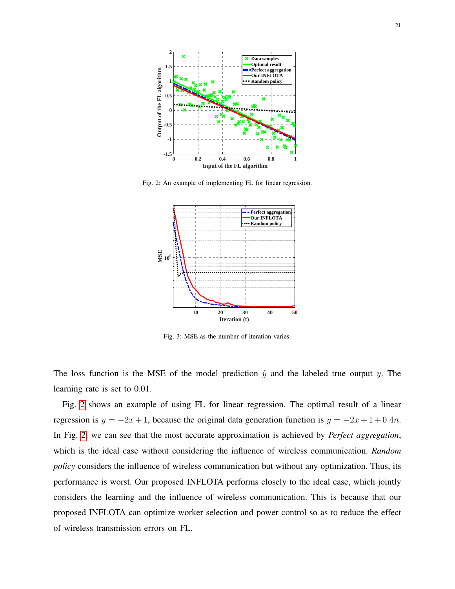<span id="page-20-0"></span>

<span id="page-20-1"></span>Fig. 2: An example of implementing FL for linear regression.



Fig. 3: MSE as the number of iteration varies.

The loss function is the MSE of the model prediction  $\hat{y}$  and the labeled true output y. The learning rate is set to 0.01.

Fig. [2](#page-20-0) shows an example of using FL for linear regression. The optimal result of a linear regression is  $y = -2x + 1$ , because the original data generation function is  $y = -2x + 1 + 0.4n$ . In Fig. [2,](#page-20-0) we can see that the most accurate approximation is achieved by *Perfect aggregation*, which is the ideal case without considering the influence of wireless communication. *Random policy* considers the influence of wireless communication but without any optimization. Thus, its performance is worst. Our proposed INFLOTA performs closely to the ideal case, which jointly considers the learning and the influence of wireless communication. This is because that our proposed INFLOTA can optimize worker selection and power control so as to reduce the effect of wireless transmission errors on FL.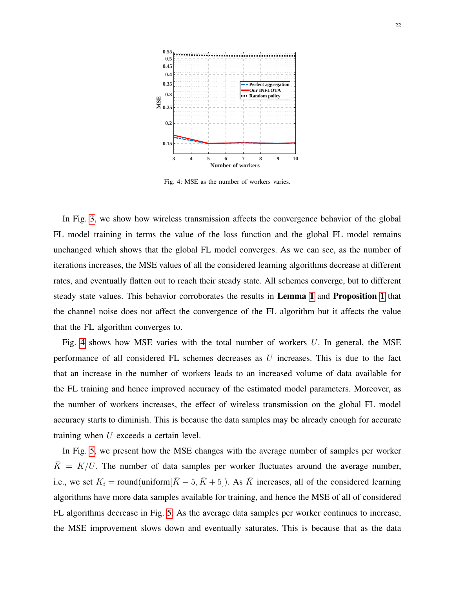<span id="page-21-0"></span>

Fig. 4: MSE as the number of workers varies.

In Fig. [3,](#page-20-1) we show how wireless transmission affects the convergence behavior of the global FL model training in terms the value of the loss function and the global FL model remains unchanged which shows that the global FL model converges. As we can see, as the number of iterations increases, the MSE values of all the considered learning algorithms decrease at different rates, and eventually flatten out to reach their steady state. All schemes converge, but to different steady state values. This behavior corroborates the results in Lemma [1](#page-9-1) and Proposition [1](#page-10-0) that the channel noise does not affect the convergence of the FL algorithm but it affects the value that the FL algorithm converges to.

Fig. [4](#page-21-0) shows how MSE varies with the total number of workers  $U$ . In general, the MSE performance of all considered FL schemes decreases as  $U$  increases. This is due to the fact that an increase in the number of workers leads to an increased volume of data available for the FL training and hence improved accuracy of the estimated model parameters. Moreover, as the number of workers increases, the effect of wireless transmission on the global FL model accuracy starts to diminish. This is because the data samples may be already enough for accurate training when U exceeds a certain level.

In Fig. [5,](#page-22-0) we present how the MSE changes with the average number of samples per worker  $\overline{K} = K/U$ . The number of data samples per worker fluctuates around the average number, i.e., we set  $K_i = \text{round}(\text{uniform}[\bar{K} - 5, \bar{K} + 5])$ . As  $\bar{K}$  increases, all of the considered learning algorithms have more data samples available for training, and hence the MSE of all of considered FL algorithms decrease in Fig. [5.](#page-22-0) As the average data samples per worker continues to increase, the MSE improvement slows down and eventually saturates. This is because that as the data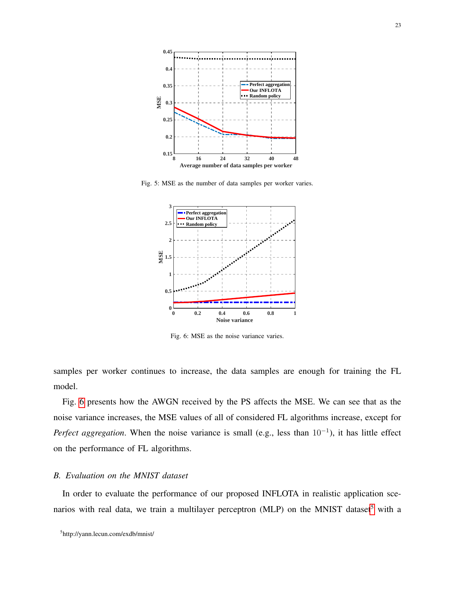<span id="page-22-0"></span>

<span id="page-22-1"></span>Fig. 5: MSE as the number of data samples per worker varies.



Fig. 6: MSE as the noise variance varies.

samples per worker continues to increase, the data samples are enough for training the FL model.

Fig. [6](#page-22-1) presents how the AWGN received by the PS affects the MSE. We can see that as the noise variance increases, the MSE values of all of considered FL algorithms increase, except for *Perfect aggregation*. When the noise variance is small (e.g., less than 10<sup>-1</sup>), it has little effect on the performance of FL algorithms.

# *B. Evaluation on the MNIST dataset*

In order to evaluate the performance of our proposed INFLOTA in realistic application sce-narios with real data, we train a multilayer perceptron (MLP) on the MNIST dataset<sup>[5](#page-22-2)</sup> with a

<span id="page-22-2"></span><sup>5</sup> http://yann.lecun.com/exdb/mnist/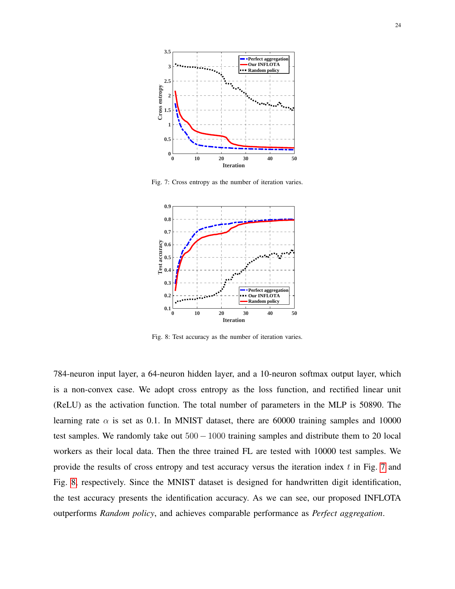<span id="page-23-0"></span>

Fig. 7: Cross entropy as the number of iteration varies.

<span id="page-23-1"></span>

Fig. 8: Test accuracy as the number of iteration varies.

784-neuron input layer, a 64-neuron hidden layer, and a 10-neuron softmax output layer, which is a non-convex case. We adopt cross entropy as the loss function, and rectified linear unit (ReLU) as the activation function. The total number of parameters in the MLP is 50890. The learning rate  $\alpha$  is set as 0.1. In MNIST dataset, there are 60000 training samples and 10000 test samples. We randomly take out  $500 - 1000$  training samples and distribute them to 20 local workers as their local data. Then the three trained FL are tested with 10000 test samples. We provide the results of cross entropy and test accuracy versus the iteration index  $t$  in Fig. [7](#page-23-0) and Fig. [8,](#page-23-1) respectively. Since the MNIST dataset is designed for handwritten digit identification, the test accuracy presents the identification accuracy. As we can see, our proposed INFLOTA outperforms *Random policy*, and achieves comparable performance as *Perfect aggregation*.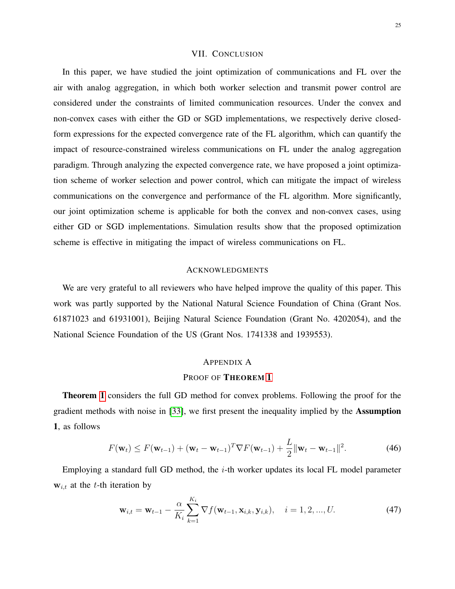#### VII. CONCLUSION

<span id="page-24-0"></span>In this paper, we have studied the joint optimization of communications and FL over the air with analog aggregation, in which both worker selection and transmit power control are considered under the constraints of limited communication resources. Under the convex and non-convex cases with either the GD or SGD implementations, we respectively derive closedform expressions for the expected convergence rate of the FL algorithm, which can quantify the impact of resource-constrained wireless communications on FL under the analog aggregation paradigm. Through analyzing the expected convergence rate, we have proposed a joint optimization scheme of worker selection and power control, which can mitigate the impact of wireless communications on the convergence and performance of the FL algorithm. More significantly, our joint optimization scheme is applicable for both the convex and non-convex cases, using either GD or SGD implementations. Simulation results show that the proposed optimization scheme is effective in mitigating the impact of wireless communications on FL.

#### ACKNOWLEDGMENTS

We are very grateful to all reviewers who have helped improve the quality of this paper. This work was partly supported by the National Natural Science Foundation of China (Grant Nos. 61871023 and 61931001), Beijing Natural Science Foundation (Grant No. 4202054), and the National Science Foundation of the US (Grant Nos. 1741338 and 1939553).

#### <span id="page-24-3"></span><span id="page-24-1"></span>APPENDIX A

#### PROOF OF THEOREM [1](#page-9-0)

Theorem [1](#page-9-0) considers the full GD method for convex problems. Following the proof for the gradient methods with noise in [\[33\]](#page-34-14), we first present the inequality implied by the Assumption 1, as follows

$$
F(\mathbf{w}_{t}) \leq F(\mathbf{w}_{t-1}) + (\mathbf{w}_{t} - \mathbf{w}_{t-1})^T \nabla F(\mathbf{w}_{t-1}) + \frac{L}{2} ||\mathbf{w}_{t} - \mathbf{w}_{t-1}||^2.
$$
 (46)

Employing a standard full GD method, the  $i$ -th worker updates its local FL model parameter  $w_{i,t}$  at the t-th iteration by

<span id="page-24-2"></span>
$$
\mathbf{w}_{i,t} = \mathbf{w}_{t-1} - \frac{\alpha}{K_i} \sum_{k=1}^{K_i} \nabla f(\mathbf{w}_{t-1}, \mathbf{x}_{i,k}, \mathbf{y}_{i,k}), \quad i = 1, 2, ..., U.
$$
 (47)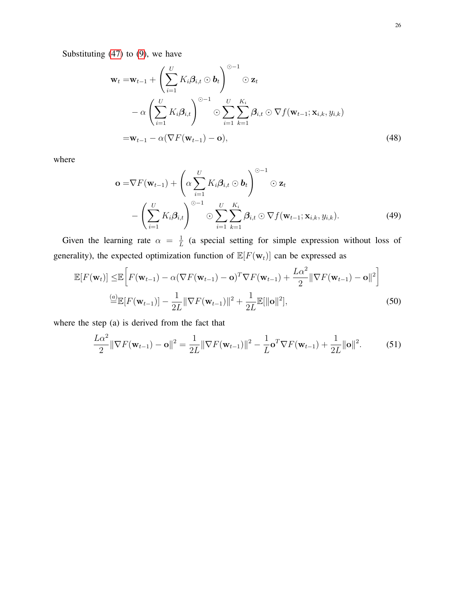Substituting  $(47)$  to  $(9)$ , we have

$$
\mathbf{w}_{t} = \mathbf{w}_{t-1} + \left(\sum_{i=1}^{U} K_{i} \boldsymbol{\beta}_{i,t} \odot \boldsymbol{b}_{t}\right)^{\odot -1} \odot \mathbf{z}_{t}
$$

$$
- \alpha \left(\sum_{i=1}^{U} K_{i} \boldsymbol{\beta}_{i,t}\right)^{\odot -1} \odot \sum_{i=1}^{U} \sum_{k=1}^{K_{i}} \boldsymbol{\beta}_{i,t} \odot \nabla f(\mathbf{w}_{t-1}; \mathbf{x}_{i,k}, y_{i,k})
$$

$$
= \mathbf{w}_{t-1} - \alpha (\nabla F(\mathbf{w}_{t-1}) - \mathbf{o}), \qquad (48)
$$

where

<span id="page-25-0"></span>
$$
\mathbf{o} = \nabla F(\mathbf{w}_{t-1}) + \left(\alpha \sum_{i=1}^{U} K_i \boldsymbol{\beta}_{i,t} \odot \mathbf{b}_t\right)^{\odot -1} \odot \mathbf{z}_t
$$

$$
- \left(\sum_{i=1}^{U} K_i \boldsymbol{\beta}_{i,t}\right)^{\odot -1} \odot \sum_{i=1}^{U} \sum_{k=1}^{K_i} \boldsymbol{\beta}_{i,t} \odot \nabla f(\mathbf{w}_{t-1}; \mathbf{x}_{i,k}, y_{i,k}). \tag{49}
$$

Given the learning rate  $\alpha = \frac{1}{l}$  $\frac{1}{L}$  (a special setting for simple expression without loss of generality), the expected optimization function of  $\mathbb{E}[F(\mathbf{w}_t)]$  can be expressed as

$$
\mathbb{E}[F(\mathbf{w}_t)] \leq \mathbb{E}\bigg[F(\mathbf{w}_{t-1}) - \alpha(\nabla F(\mathbf{w}_{t-1}) - \mathbf{o})^T \nabla F(\mathbf{w}_{t-1}) + \frac{L\alpha^2}{2} ||\nabla F(\mathbf{w}_{t-1}) - \mathbf{o}||^2\bigg]
$$
  
\n
$$
\stackrel{(a)}{=} \mathbb{E}[F(\mathbf{w}_{t-1})] - \frac{1}{2L} ||\nabla F(\mathbf{w}_{t-1})||^2 + \frac{1}{2L} \mathbb{E}[||\mathbf{o}||^2],
$$
\n(50)

where the step (a) is derived from the fact that

$$
\frac{L\alpha^2}{2} \|\nabla F(\mathbf{w}_{t-1}) - \mathbf{o}\|^2 = \frac{1}{2L} \|\nabla F(\mathbf{w}_{t-1})\|^2 - \frac{1}{L} \mathbf{o}^T \nabla F(\mathbf{w}_{t-1}) + \frac{1}{2L} \|\mathbf{o}\|^2.
$$
 (51)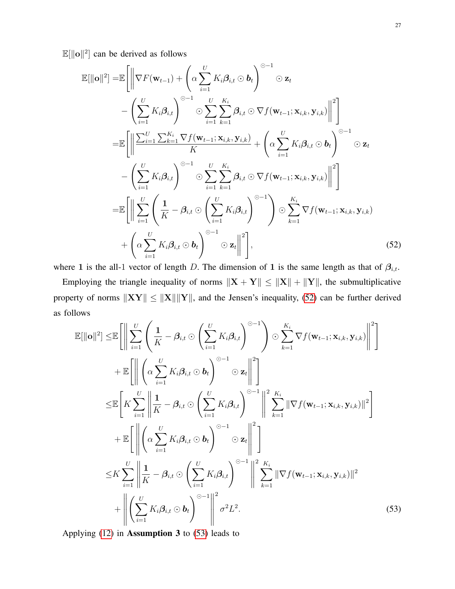$\mathbb{E}[\|\mathbf{o}\|^2]$  can be derived as follows

$$
\mathbb{E}[\|\mathbf{o}\|^2] = \mathbb{E}\Bigg[\Big|\nabla F(\mathbf{w}_{t-1}) + \Bigg(\alpha \sum_{i=1}^U K_i \beta_{i,t} \odot \mathbf{b}_t\Bigg)^{\odot -1} \odot \mathbf{z}_t \n- \Bigg(\sum_{i=1}^U K_i \beta_{i,t}\Bigg)^{\odot -1} \odot \sum_{i=1}^U \sum_{k=1}^{K_i} \beta_{i,t} \odot \nabla f(\mathbf{w}_{t-1}; \mathbf{x}_{i,k}, \mathbf{y}_{i,k})\Big|^2\Bigg] \n= \mathbb{E}\Bigg[\Big|\Big|\frac{\sum_{i=1}^U \sum_{k=1}^{K_i} \nabla f(\mathbf{w}_{t-1}; \mathbf{x}_{i,k}, \mathbf{y}_{i,k})}{K} + \Bigg(\alpha \sum_{i=1}^U K_i \beta_{i,t} \odot \mathbf{b}_t\Bigg)^{\odot -1} \odot \mathbf{z}_t \n- \Bigg(\sum_{i=1}^U K_i \beta_{i,t}\Bigg)^{\odot -1} \odot \sum_{i=1}^U \sum_{k=1}^{K_i} \beta_{i,t} \odot \nabla f(\mathbf{w}_{t-1}; \mathbf{x}_{i,k}, \mathbf{y}_{i,k})\Big|^2\Bigg] \n= \mathbb{E}\Bigg[\Big|\Big|\sum_{i=1}^U \Bigg(\frac{1}{K} - \beta_{i,t} \odot \Bigg(\sum_{i=1}^U K_i \beta_{i,t}\Bigg)^{\odot -1}\Bigg) \odot \sum_{k=1}^{K_i} \nabla f(\mathbf{w}_{t-1}; \mathbf{x}_{i,k}, \mathbf{y}_{i,k}) + \Bigg(\alpha \sum_{i=1}^U K_i \beta_{i,t} \odot \mathbf{b}_t\Bigg)^{\odot -1} \odot \mathbf{z}_t\Big|^2\Bigg], \tag{52}
$$

where 1 is the all-1 vector of length D. The dimension of 1 is the same length as that of  $\beta_{i,t}$ .

Employing the triangle inequality of norms  $||\mathbf{X} + \mathbf{Y}|| \le ||\mathbf{X}|| + ||\mathbf{Y}||$ , the submultiplicative property of norms  $||XY|| \le ||X|| ||Y||$ , and the Jensen's inequality, [\(52\)](#page-26-0) can be further derived as follows

<span id="page-26-0"></span>
$$
\mathbb{E}[\|\mathbf{o}\|^2] \leq \mathbb{E}\left[\left\|\sum_{i=1}^U\left(\frac{1}{K}-\beta_{i,t}\odot\left(\sum_{i=1}^U K_i\beta_{i,t}\right)^{\odot-1}\right)\odot\sum_{k=1}^{K_i}\nabla f(\mathbf{w}_{t-1};\mathbf{x}_{i,k},\mathbf{y}_{i,k})\right\|^2\right] \n+ \mathbb{E}\left[\left\|\left(\alpha\sum_{i=1}^U K_i\beta_{i,t}\odot\mathbf{b}_t\right)^{\odot-1}\odot\mathbf{z}_t\right\|^2\right] \n\leq \mathbb{E}\left[K\sum_{i=1}^U\left\|\frac{1}{K}-\beta_{i,t}\odot\left(\sum_{i=1}^U K_i\beta_{i,t}\right)^{\odot-1}\right\|^2\sum_{k=1}^K\|\nabla f(\mathbf{w}_{t-1};\mathbf{x}_{i,k},\mathbf{y}_{i,k})\|^2\right] \n+ \mathbb{E}\left[\left\|\left(\alpha\sum_{i=1}^U K_i\beta_{i,t}\odot\mathbf{b}_t\right)^{\odot-1}\odot\mathbf{z}_t\right\|^2\right] \n\leq K\sum_{i=1}^U\left\|\frac{1}{K}-\beta_{i,t}\odot\left(\sum_{i=1}^U K_i\beta_{i,t}\right)^{\odot-1}\right\|^2\sum_{k=1}^{K_i}\|\nabla f(\mathbf{w}_{t-1};\mathbf{x}_{i,k},\mathbf{y}_{i,k})\|^2 \n+ \left\|\left(\sum_{i=1}^U K_i\beta_{i,t}\odot\mathbf{b}_t\right)^{\odot-1}\right\|^2\sigma^2L^2.
$$
\n(53)

<span id="page-26-1"></span>Applying  $(12)$  in **Assumption 3** to  $(53)$  leads to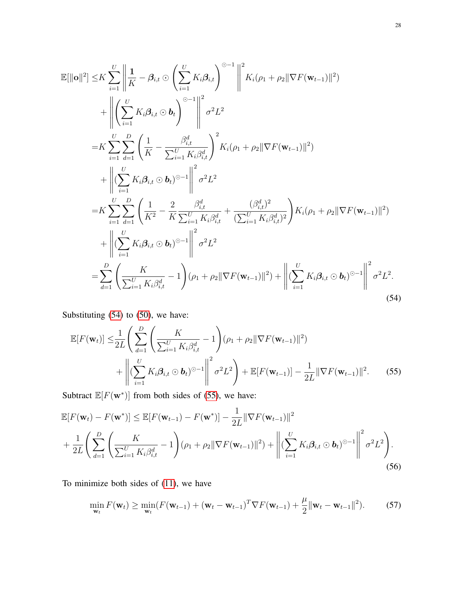$$
\mathbb{E}[\|\mathbf{o}\|^2] \leq K \sum_{i=1}^{U} \left\| \frac{1}{K} - \beta_{i,t} \odot \left( \sum_{i=1}^{U} K_i \beta_{i,t} \right)^{\odot -1} \right\|^{2} K_i(\rho_1 + \rho_2 \|\nabla F(\mathbf{w}_{t-1})\|^2)
$$
  
+ 
$$
\left\| \left( \sum_{i=1}^{U} K_i \beta_{i,t} \odot \mathbf{b}_t \right)^{\odot -1} \right\|^{2} \sigma^{2} L^{2}
$$
  
= 
$$
K \sum_{i=1}^{U} \sum_{d=1}^{D} \left( \frac{1}{K} - \frac{\beta_{i,t}^{d}}{\sum_{i=1}^{U} K_i \beta_{i,t}^{d}} \right)^{2} K_i(\rho_1 + \rho_2 \|\nabla F(\mathbf{w}_{t-1})\|^2)
$$
  
+ 
$$
\left\| (\sum_{i=1}^{U} K_i \beta_{i,t} \odot \mathbf{b}_t)^{\odot -1} \right\|^{2} \sigma^{2} L^{2}
$$
  
= 
$$
K \sum_{i=1}^{U} \sum_{d=1}^{D} \left( \frac{1}{K^2} - \frac{2}{K} \frac{\beta_{i,t}^{d}}{\sum_{i=1}^{U} K_i \beta_{i,t}^{d}} + \frac{(\beta_{i,t}^{d})^{2}}{(\sum_{i=1}^{U} K_i \beta_{i,t}^{d})^{2}} \right) K_i(\rho_1 + \rho_2 \|\nabla F(\mathbf{w}_{t-1})\|^2)
$$
  
+ 
$$
\left\| (\sum_{i=1}^{U} K_i \beta_{i,t} \odot \mathbf{b}_t)^{\odot -1} \right\|^{2} \sigma^{2} L^{2}
$$
  
= 
$$
\sum_{d=1}^{D} \left( \frac{K}{\sum_{i=1}^{U} K_i \beta_{i,t}^{d}} - 1 \right) (\rho_1 + \rho_2 \|\nabla F(\mathbf{w}_{t-1})\|^2) + \left\| (\sum_{i=1}^{U} K_i \beta_{i,t} \odot \mathbf{b}_t)^{\odot -1} \right\|^{2} \sigma^{2} L^{2}.
$$
(54)

Substituting [\(54\)](#page-27-0) to [\(50\)](#page-25-0), we have:

<span id="page-27-1"></span><span id="page-27-0"></span>
$$
\mathbb{E}[F(\mathbf{w}_{t})] \leq \frac{1}{2L} \left( \sum_{d=1}^{D} \left( \frac{K}{\sum_{i=1}^{U} K_{i} \beta_{i,t}^{d}} - 1 \right) (\rho_{1} + \rho_{2} || \nabla F(\mathbf{w}_{t-1}) ||^{2}) + \left\| (\sum_{i=1}^{U} K_{i} \beta_{i,t} \odot \mathbf{b}_{t})^{\odot -1} \right\|^{2} \sigma^{2} L^{2} \right) + \mathbb{E}[F(\mathbf{w}_{t-1})] - \frac{1}{2L} || \nabla F(\mathbf{w}_{t-1}) ||^{2}.
$$
 (55)

Subtract  $\mathbb{E}[F(\mathbf{w}^*)]$  from both sides of [\(55\)](#page-27-1), we have:

$$
\mathbb{E}[F(\mathbf{w}_{t}) - F(\mathbf{w}^{*})] \leq \mathbb{E}[F(\mathbf{w}_{t-1}) - F(\mathbf{w}^{*})] - \frac{1}{2L} \|\nabla F(\mathbf{w}_{t-1})\|^{2} + \frac{1}{2L} \left( \sum_{d=1}^{D} \left( \frac{K}{\sum_{i=1}^{U} K_{i} \beta_{i,t}^{d}} - 1 \right) (\rho_{1} + \rho_{2} \|\nabla F(\mathbf{w}_{t-1})\|^{2}) + \left\| (\sum_{i=1}^{U} K_{i} \beta_{i,t} \odot \mathbf{b}_{t})^{\odot -1} \right\|^{2} \sigma^{2} L^{2} \right). \tag{56}
$$

To minimize both sides of [\(11\)](#page-8-2), we have

<span id="page-27-2"></span>
$$
\min_{\mathbf{w}_t} F(\mathbf{w}_t) \ge \min_{\mathbf{w}_t} (F(\mathbf{w}_{t-1}) + (\mathbf{w}_t - \mathbf{w}_{t-1})^T \nabla F(\mathbf{w}_{t-1}) + \frac{\mu}{2} ||\mathbf{w}_t - \mathbf{w}_{t-1}||^2). \tag{57}
$$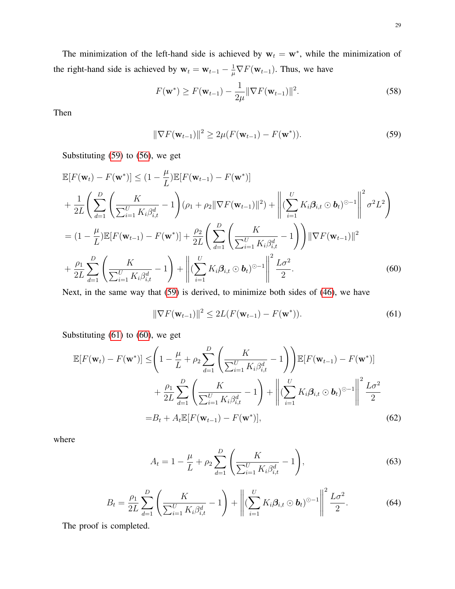The minimization of the left-hand side is achieved by  $w_t = w^*$ , while the minimization of the right-hand side is achieved by  $w_t = w_{t-1} - \frac{1}{u}$  $\frac{1}{\mu} \nabla F(\mathbf{w}_{t-1})$ . Thus, we have

$$
F(\mathbf{w}^*) \ge F(\mathbf{w}_{t-1}) - \frac{1}{2\mu} \|\nabla F(\mathbf{w}_{t-1})\|^2.
$$
 (58)

Then

<span id="page-28-0"></span>
$$
\|\nabla F(\mathbf{w}_{t-1})\|^2 \ge 2\mu(F(\mathbf{w}_{t-1}) - F(\mathbf{w}^*)). \tag{59}
$$

Substituting [\(59\)](#page-28-0) to [\(56\)](#page-27-2), we get

$$
\mathbb{E}[F(\mathbf{w}_{t}) - F(\mathbf{w}^{*})] \leq (1 - \frac{\mu}{L})\mathbb{E}[F(\mathbf{w}_{t-1}) - F(\mathbf{w}^{*})]
$$
  
+  $\frac{1}{2L} \Biggl( \sum_{d=1}^{D} \Biggl( \frac{K}{\sum_{i=1}^{U} K_{i} \beta_{i,t}^{d}} - 1 \Biggr) (\rho_{1} + \rho_{2} || \nabla F(\mathbf{w}_{t-1}) ||^{2}) + \Biggl\| (\sum_{i=1}^{U} K_{i} \beta_{i,t} \odot \mathbf{b}_{t})^{\odot - 1} \Biggr\|^{2} \sigma^{2} L^{2} \Biggr)$   
=  $(1 - \frac{\mu}{L}) \mathbb{E}[F(\mathbf{w}_{t-1}) - F(\mathbf{w}^{*})] + \frac{\rho_{2}}{2L} \Biggl( \sum_{d=1}^{D} \Biggl( \frac{K}{\sum_{i=1}^{U} K_{i} \beta_{i,t}^{d}} - 1 \Biggr) \Biggr) || \nabla F(\mathbf{w}_{t-1}) ||^{2}$   
+  $\frac{\rho_{1}}{2L} \sum_{d=1}^{D} \Biggl( \frac{K}{\sum_{i=1}^{U} K_{i} \beta_{i,t}^{d}} - 1 \Biggr) + \Biggl\| (\sum_{i=1}^{U} K_{i} \beta_{i,t} \odot \mathbf{b}_{t})^{\odot - 1} \Biggr\|^{2} \frac{L \sigma^{2}}{2}.$  (60)

Next, in the same way that [\(59\)](#page-28-0) is derived, to minimize both sides of [\(46\)](#page-24-3), we have

<span id="page-28-2"></span><span id="page-28-1"></span>
$$
\|\nabla F(\mathbf{w}_{t-1})\|^2 \le 2L(F(\mathbf{w}_{t-1}) - F(\mathbf{w}^*)). \tag{61}
$$

Substituting [\(61\)](#page-28-1) to [\(60\)](#page-28-2), we get

$$
\mathbb{E}[F(\mathbf{w}_t) - F(\mathbf{w}^*)] \leq \left(1 - \frac{\mu}{L} + \rho_2 \sum_{d=1}^D \left(\frac{K}{\sum_{i=1}^U K_i \beta_{i,t}^d} - 1\right)\right) \mathbb{E}[F(\mathbf{w}_{t-1}) - F(\mathbf{w}^*)]
$$

$$
+ \frac{\rho_1}{2L} \sum_{d=1}^D \left(\frac{K}{\sum_{i=1}^U K_i \beta_{i,t}^d} - 1\right) + \left\| (\sum_{i=1}^U K_i \beta_{i,t} \odot \mathbf{b}_t)^{\odot -1} \right\|^2 \frac{L\sigma^2}{2}
$$

$$
= B_t + A_t \mathbb{E}[F(\mathbf{w}_{t-1}) - F(\mathbf{w}^*)], \tag{62}
$$

where

$$
A_{t} = 1 - \frac{\mu}{L} + \rho_{2} \sum_{d=1}^{D} \left( \frac{K}{\sum_{i=1}^{U} K_{i} \beta_{i,t}^{d}} - 1 \right),
$$
 (63)

$$
B_t = \frac{\rho_1}{2L} \sum_{d=1}^{D} \left( \frac{K}{\sum_{i=1}^{U} K_i \beta_{i,t}^d} - 1 \right) + \left\| (\sum_{i=1}^{U} K_i \beta_{i,t} \odot \boldsymbol{b}_t)^{\odot - 1} \right\|^2 \frac{L\sigma^2}{2}.
$$
 (64)

The proof is completed.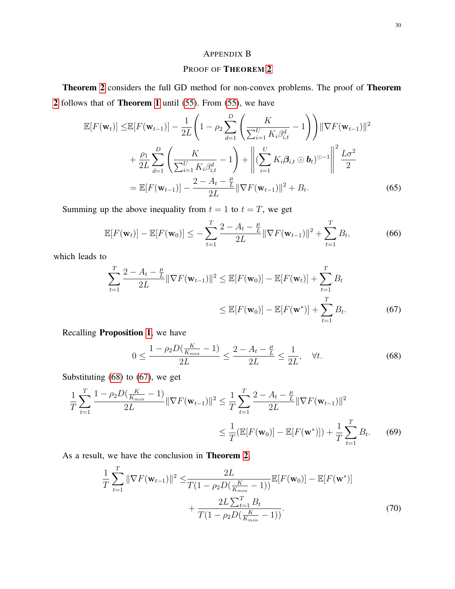# <span id="page-29-0"></span>APPENDIX B

# PROOF OF THEOREM [2](#page-12-0)

Theorem [2](#page-12-0) considers the full GD method for non-convex problems. The proof of Theorem [2](#page-12-0) follows that of Theorem [1](#page-9-0) until [\(55\)](#page-27-1). From [\(55\)](#page-27-1), we have

$$
\mathbb{E}[F(\mathbf{w}_{t})] \leq \mathbb{E}[F(\mathbf{w}_{t-1})] - \frac{1}{2L} \left( 1 - \rho_2 \sum_{d=1}^{D} \left( \frac{K}{\sum_{i=1}^{U} K_i \beta_{i,t}^d} - 1 \right) \right) ||\nabla F(\mathbf{w}_{t-1})||^2
$$
  
+  $\frac{\rho_1}{2L} \sum_{d=1}^{D} \left( \frac{K}{\sum_{i=1}^{U} K_i \beta_{i,t}^d} - 1 \right) + \left\| (\sum_{i=1}^{U} K_i \boldsymbol{\beta}_{i,t} \odot \mathbf{b}_t)^{\odot -1} \right\|^2 \frac{L\sigma^2}{2}$   
=  $\mathbb{E}[F(\mathbf{w}_{t-1})] - \frac{2 - A_t - \frac{\mu}{L}}{2L} ||\nabla F(\mathbf{w}_{t-1})||^2 + B_t.$  (65)

Summing up the above inequality from  $t = 1$  to  $t = T$ , we get

$$
\mathbb{E}[F(\mathbf{w}_t)] - \mathbb{E}[F(\mathbf{w}_0)] \le -\sum_{t=1}^T \frac{2 - A_t - \frac{\mu}{L}}{2L} \|\nabla F(\mathbf{w}_{t-1})\|^2 + \sum_{t=1}^T B_t,
$$
(66)

which leads to

$$
\sum_{t=1}^{T} \frac{2 - A_t - \frac{\mu}{L}}{2L} \|\nabla F(\mathbf{w}_{t-1})\|^2 \le \mathbb{E}[F(\mathbf{w}_0)] - \mathbb{E}[F(\mathbf{w}_t)] + \sum_{t=1}^{T} B_t
$$
  

$$
\le \mathbb{E}[F(\mathbf{w}_0)] - \mathbb{E}[F(\mathbf{w}^*)] + \sum_{t=1}^{T} B_t.
$$
 (67)

Recalling Proposition [1](#page-10-0), we have

<span id="page-29-2"></span><span id="page-29-1"></span>
$$
0 \le \frac{1 - \rho_2 D(\frac{K}{K_{min}} - 1)}{2L} \le \frac{2 - A_t - \frac{\mu}{L}}{2L} \le \frac{1}{2L}, \quad \forall t.
$$
 (68)

Substituting [\(68\)](#page-29-1) to [\(67\)](#page-29-2), we get

$$
\frac{1}{T} \sum_{t=1}^{T} \frac{1 - \rho_2 D(\frac{K}{K_{min}} - 1)}{2L} \|\nabla F(\mathbf{w}_{t-1})\|^2 \le \frac{1}{T} \sum_{t=1}^{T} \frac{2 - A_t - \frac{\mu}{L}}{2L} \|\nabla F(\mathbf{w}_{t-1})\|^2
$$

$$
\le \frac{1}{T} (\mathbb{E}[F(\mathbf{w}_0)] - \mathbb{E}[F(\mathbf{w}^*)]) + \frac{1}{T} \sum_{t=1}^{T} B_t. \tag{69}
$$

As a result, we have the conclusion in Theorem [2](#page-12-0),

$$
\frac{1}{T} \sum_{t=1}^{T} \|\nabla F(\mathbf{w}_{t-1})\|^2 \leq \frac{2L}{T(1 - \rho_2 D(\frac{K}{K_{min}} - 1))} \mathbb{E}[F(\mathbf{w}_0)] - \mathbb{E}[F(\mathbf{w}^*)] + \frac{2L \sum_{t=1}^{T} B_t}{T(1 - \rho_2 D(\frac{K}{K_{min}} - 1))}.
$$
\n(70)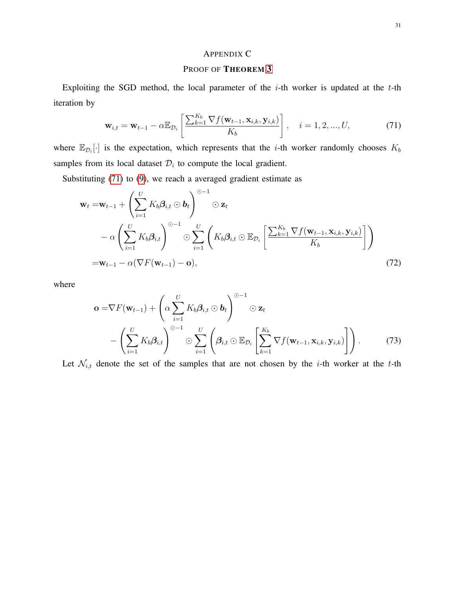# <span id="page-30-1"></span><span id="page-30-0"></span>APPENDIX C

## PROOF OF THEOREM [3](#page-12-1)

Exploiting the SGD method, the local parameter of the  $i$ -th worker is updated at the  $t$ -th iteration by

$$
\mathbf{w}_{i,t} = \mathbf{w}_{t-1} - \alpha \mathbb{E}_{\mathcal{D}_i} \left[ \frac{\sum_{k=1}^{K_b} \nabla f(\mathbf{w}_{t-1}, \mathbf{x}_{i,k}, \mathbf{y}_{i,k})}{K_b} \right], \quad i = 1, 2, ..., U,
$$
(71)

where  $\mathbb{E}_{\mathcal{D}_i}[\cdot]$  is the expectation, which represents that the *i*-th worker randomly chooses  $K_b$ samples from its local dataset  $\mathcal{D}_i$  to compute the local gradient.

Substituting [\(71\)](#page-30-1) to [\(9\)](#page-7-1), we reach a averaged gradient estimate as

$$
\mathbf{w}_{t} = \mathbf{w}_{t-1} + \left(\sum_{i=1}^{U} K_{b} \boldsymbol{\beta}_{i,t} \odot \mathbf{b}_{t}\right)^{\odot -1} \odot \mathbf{z}_{t} \n- \alpha \left(\sum_{i=1}^{U} K_{b} \boldsymbol{\beta}_{i,t}\right)^{\odot -1} \odot \sum_{i=1}^{U} \left(K_{b} \boldsymbol{\beta}_{i,t} \odot \mathbb{E}_{\mathcal{D}_{i}}\left[\frac{\sum_{k=1}^{K_{b}} \nabla f(\mathbf{w}_{t-1}, \mathbf{x}_{i,k}, \mathbf{y}_{i,k})}{K_{b}}\right]\right) \n= \mathbf{w}_{t-1} - \alpha (\nabla F(\mathbf{w}_{t-1}) - \mathbf{o}),
$$
\n(72)

where

$$
\mathbf{o} = \nabla F(\mathbf{w}_{t-1}) + \left(\alpha \sum_{i=1}^{U} K_b \beta_{i,t} \odot \mathbf{b}_t\right)^{\odot -1} \odot \mathbf{z}_t
$$

$$
- \left(\sum_{i=1}^{U} K_b \beta_{i,t}\right)^{\odot -1} \odot \sum_{i=1}^{U} \left(\beta_{i,t} \odot \mathbb{E}_{\mathcal{D}_i} \left[\sum_{k=1}^{K_b} \nabla f(\mathbf{w}_{t-1}, \mathbf{x}_{i,k}, \mathbf{y}_{i,k})\right]\right). \tag{73}
$$

Let  $\mathcal{N}_{i,t}$  denote the set of the samples that are not chosen by the *i*-th worker at the *t*-th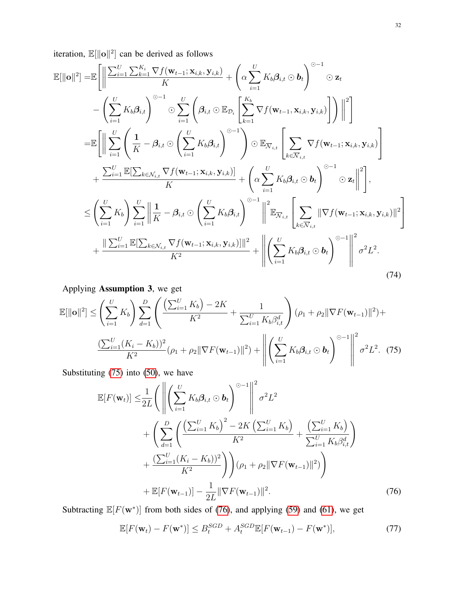iteration,  $\mathbb{E}[\|\mathbf{o}\|^2]$  can be derived as follows

$$
\mathbb{E}[\|\mathbf{o}\|^2] = \mathbb{E}\Bigg[\Bigg\|\frac{\sum_{i=1}^U \sum_{k=1}^{K_i} \nabla f(\mathbf{w}_{t-1}; \mathbf{x}_{i,k}, \mathbf{y}_{i,k})}{K} + \left(\alpha \sum_{i=1}^U K_b \beta_{i,t} \odot \mathbf{b}_t\right)^{\odot -1} \odot \mathbf{z}_t \n- \left(\sum_{i=1}^U K_b \beta_{i,t}\right)^{\odot -1} \odot \sum_{i=1}^U \left(\beta_{i,t} \odot \mathbb{E}_{\mathcal{D}_i}\left[\sum_{k=1}^{K_b} \nabla f(\mathbf{w}_{t-1}, \mathbf{x}_{i,k}, \mathbf{y}_{i,k})\right]\right) \Bigg\|^2\Bigg] \n= \mathbb{E}\Bigg[\Bigg\|\sum_{i=1}^U \left(\frac{1}{K} - \beta_{i,t} \odot \left(\sum_{i=1}^U K_b \beta_{i,t}\right)^{\odot -1}\right) \odot \mathbb{E}_{\overline{\mathcal{N}}_{i,t}}\left[\sum_{k \in \overline{\mathcal{N}}_{i,t}} \nabla f(\mathbf{w}_{t-1}; \mathbf{x}_{i,k}, \mathbf{y}_{i,k})\right] \n+ \frac{\sum_{i=1}^U \mathbb{E}[\sum_{k \in \mathcal{N}_{i,t}} \nabla f(\mathbf{w}_{t-1}; \mathbf{x}_{i,k}, \mathbf{y}_{i,k})]}{K} + \left(\alpha \sum_{i=1}^U K_b \beta_{i,t} \odot \mathbf{b}_t\right)^{\odot -1} \odot \mathbf{z}_t \Bigg\|^2\Bigg], \n\le \left(\sum_{i=1}^U K_b\right) \sum_{i=1}^U \Bigg\|\frac{1}{K} - \beta_{i,t} \odot \left(\sum_{i=1}^U K_b \beta_{i,t}\right)^{\odot -1} \Bigg\|^2 \mathbb{E}_{\overline{\mathcal{N}}_{i,t}} \left[\sum_{k \in \overline{\mathcal{N}}_{i,t}} \|\nabla f(\mathbf{w}_{t-1}; \mathbf{x}_{i,k}, \mathbf{y}_{i,k})\|^2\right] \n+ \frac{\|\sum_{i=1}^U \mathbb{E}[\sum_{k \in \mathcal{N}_{i,t}} \nabla f(\mathbf
$$

Applying **Assumption 3**, we get  
\n
$$
\mathbb{E}[\|\mathbf{o}\|^2] \leq \left(\sum_{i=1}^U K_b\right) \sum_{d=1}^D \left(\frac{\left(\sum_{i=1}^U K_b\right) - 2K}{K^2} + \frac{1}{\sum_{i=1}^U K_b \beta_{i,t}^d}\right) (\rho_1 + \rho_2 \|\nabla F(\mathbf{w}_{t-1})\|^2) + \frac{\left(\sum_{i=1}^U (K_i - K_b)\right)^2}{K^2} (\rho_1 + \rho_2 \|\nabla F(\mathbf{w}_{t-1})\|^2) + \left\|\left(\sum_{i=1}^U K_b \beta_{i,t} \odot \mathbf{b}_t\right)^{\odot -1}\right\|^2 \sigma^2 L^2. (75)
$$

Substituting [\(75\)](#page-31-0) into [\(50\)](#page-25-0), we have

<span id="page-31-0"></span>
$$
\mathbb{E}[F(\mathbf{w}_{t})] \leq \frac{1}{2L} \Bigg( \left\| \left( \sum_{i=1}^{U} K_{b} \beta_{i,t} \odot \mathbf{b}_{t} \right)^{\odot -1} \right\|^{2} \sigma^{2} L^{2} + \left( \sum_{d=1}^{D} \left( \frac{\left( \sum_{i=1}^{U} K_{b} \right)^{2} - 2K \left( \sum_{i=1}^{U} K_{b} \right)}{K^{2}} + \frac{\left( \sum_{i=1}^{U} K_{b} \right)^{2}}{\sum_{i=1}^{U} K_{b} \beta_{i,t}^{d}} \right) + \frac{\left( \sum_{i=1}^{U} (K_{i} - K_{b}) \right)^{2}}{K^{2}} \Bigg) \Bigg) (\rho_{1} + \rho_{2} \|\nabla F(\mathbf{w}_{t-1})\|^{2}) \Bigg) + \mathbb{E}[F(\mathbf{w}_{t-1})] - \frac{1}{2L} \|\nabla F(\mathbf{w}_{t-1})\|^{2} . \tag{76}
$$

Subtracting  $\mathbb{E}[F(\mathbf{w}^*)]$  from both sides of [\(76\)](#page-31-1), and applying [\(59\)](#page-28-0) and [\(61\)](#page-28-1), we get

<span id="page-31-2"></span><span id="page-31-1"></span>
$$
\mathbb{E}[F(\mathbf{w}_t) - F(\mathbf{w}^*)] \le B_t^{SGD} + A_t^{SGD} \mathbb{E}[F(\mathbf{w}_{t-1}) - F(\mathbf{w}^*)],\tag{77}
$$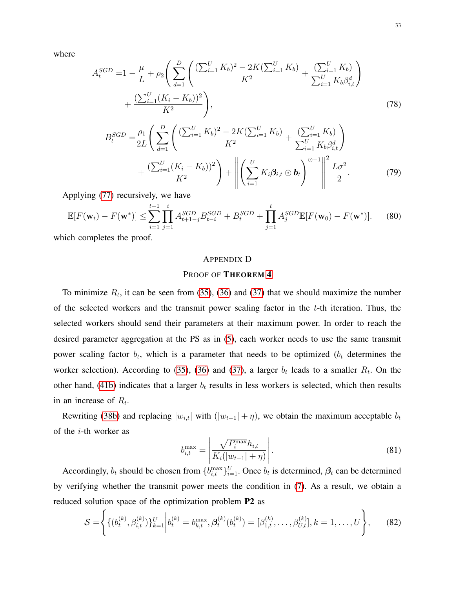where

$$
A_t^{SGD} = 1 - \frac{\mu}{L} + \rho_2 \left( \sum_{d=1}^D \left( \frac{(\sum_{i=1}^U K_b)^2 - 2K(\sum_{i=1}^U K_b)}{K^2} + \frac{(\sum_{i=1}^U K_b)^d}{K_b \beta_{i,t}} \right) + \frac{(\sum_{i=1}^U (K_i - K_b))^2}{K^2} \right),
$$
\n(78)

$$
B_t^{SGD} = \frac{\rho_1}{2L} \left( \sum_{d=1}^D \left( \frac{(\sum_{i=1}^U K_b)^2 - 2K(\sum_{i=1}^U K_b)}{K^2} + \frac{(\sum_{i=1}^U K_b)^d}{\sum_{i=1}^U K_b \beta_{i,t}^d} \right) + \frac{(\sum_{i=1}^U (K_i - K_b))^2}{K^2} \right) + \left\| \left( \sum_{i=1}^U K_i \beta_{i,t} \odot \mathbf{b}_t \right)^{\odot -1} \right\|^2 \frac{L\sigma^2}{2}.
$$
 (79)

Applying [\(77\)](#page-31-2) recursively, we have

$$
\mathbb{E}[F(\mathbf{w}_t) - F(\mathbf{w}^*)] \le \sum_{i=1}^{t-1} \prod_{j=1}^i A_{t+1-j}^{SGD} B_{t-i}^{SGD} + B_t^{SGD} + \prod_{j=1}^t A_j^{SGD} \mathbb{E}[F(\mathbf{w}_0) - F(\mathbf{w}^*)].
$$
 (80)

which completes the proof.

# APPENDIX D

# PROOF OF THEOREM [4](#page-17-0)

To minimize  $R_t$ , it can be seen from [\(35\)](#page-15-1), [\(36\)](#page-15-3) and [\(37\)](#page-15-2) that we should maximize the number of the selected workers and the transmit power scaling factor in the  $t$ -th iteration. Thus, the selected workers should send their parameters at their maximum power. In order to reach the desired parameter aggregation at the PS as in [\(5\)](#page-6-0), each worker needs to use the same transmit power scaling factor  $b_t$ , which is a parameter that needs to be optimized ( $b_t$  determines the worker selection). According to [\(35\)](#page-15-1), [\(36\)](#page-15-3) and [\(37\)](#page-15-2), a larger  $b_t$  leads to a smaller  $R_t$ . On the other hand, [\(41b\)](#page-16-1) indicates that a larger  $b_t$  results in less workers is selected, which then results in an increase of  $R_t$ .

Rewriting [\(38b\)](#page-15-0) and replacing  $|w_{i,t}|$  with  $(|w_{t-1}| + \eta)$ , we obtain the maximum acceptable  $b_t$ of the i-th worker as

$$
b_{i,t}^{\max} = \left| \frac{\sqrt{P_i^{\max}} h_{i,t}}{K_i(|w_{t-1}| + \eta)} \right|.
$$
 (81)

Accordingly,  $b_t$  should be chosen from  $\{b_{i,t}^{\max}\}_{i=1}^U$ . Once  $b_t$  is determined,  $\beta_t$  can be determined by verifying whether the transmit power meets the condition in [\(7\)](#page-7-2). As a result, we obtain a reduced solution space of the optimization problem P2 as

$$
\mathcal{S} = \left\{ \{ (b_t^{(k)}, \beta_{i,t}^{(k)}) \}_{k=1}^U \bigg| b_t^{(k)} = b_{k,t}^{\max}, \mathcal{A}_t^{(k)}(b_t^{(k)}) = [\beta_{1,t}^{(k)}, \dots, \beta_{U,t}^{(k)}], k = 1, \dots, U \right\},\tag{82}
$$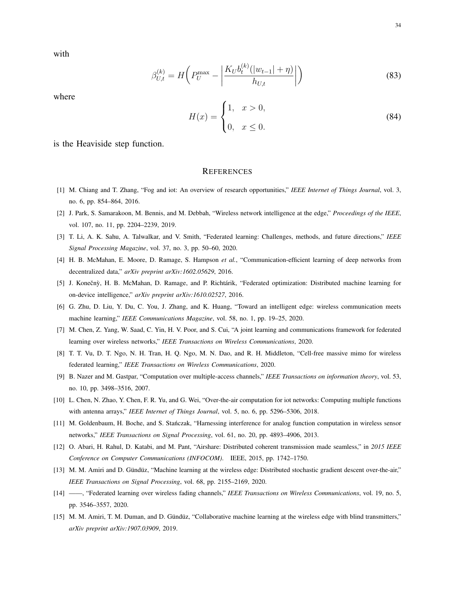with

$$
\beta_{U,t}^{(k)} = H\bigg(P_U^{\max} - \bigg|\frac{K_U b_t^{(k)}(|w_{t-1}| + \eta)}{h_{U,t}}\bigg|\bigg)
$$
\n(83)

where

$$
H(x) = \begin{cases} 1, & x > 0, \\ 0, & x \le 0. \end{cases}
$$
 (84)

is the Heaviside step function.

#### **REFERENCES**

- <span id="page-33-0"></span>[1] M. Chiang and T. Zhang, "Fog and iot: An overview of research opportunities," *IEEE Internet of Things Journal*, vol. 3, no. 6, pp. 854–864, 2016.
- <span id="page-33-1"></span>[2] J. Park, S. Samarakoon, M. Bennis, and M. Debbah, "Wireless network intelligence at the edge," *Proceedings of the IEEE*, vol. 107, no. 11, pp. 2204–2239, 2019.
- <span id="page-33-2"></span>[3] T. Li, A. K. Sahu, A. Talwalkar, and V. Smith, "Federated learning: Challenges, methods, and future directions," *IEEE Signal Processing Magazine*, vol. 37, no. 3, pp. 50–60, 2020.
- <span id="page-33-3"></span>[4] H. B. McMahan, E. Moore, D. Ramage, S. Hampson *et al.*, "Communication-efficient learning of deep networks from decentralized data," *arXiv preprint arXiv:1602.05629*, 2016.
- <span id="page-33-4"></span>[5] J. Konečnỳ, H. B. McMahan, D. Ramage, and P. Richtárik, "Federated optimization: Distributed machine learning for on-device intelligence," *arXiv preprint arXiv:1610.02527*, 2016.
- <span id="page-33-5"></span>[6] G. Zhu, D. Liu, Y. Du, C. You, J. Zhang, and K. Huang, "Toward an intelligent edge: wireless communication meets machine learning," *IEEE Communications Magazine*, vol. 58, no. 1, pp. 19–25, 2020.
- <span id="page-33-6"></span>[7] M. Chen, Z. Yang, W. Saad, C. Yin, H. V. Poor, and S. Cui, "A joint learning and communications framework for federated learning over wireless networks," *IEEE Transactions on Wireless Communications*, 2020.
- <span id="page-33-7"></span>[8] T. T. Vu, D. T. Ngo, N. H. Tran, H. Q. Ngo, M. N. Dao, and R. H. Middleton, "Cell-free massive mimo for wireless federated learning," *IEEE Transactions on Wireless Communications*, 2020.
- <span id="page-33-8"></span>[9] B. Nazer and M. Gastpar, "Computation over multiple-access channels," *IEEE Transactions on information theory*, vol. 53, no. 10, pp. 3498–3516, 2007.
- [10] L. Chen, N. Zhao, Y. Chen, F. R. Yu, and G. Wei, "Over-the-air computation for iot networks: Computing multiple functions with antenna arrays," *IEEE Internet of Things Journal*, vol. 5, no. 6, pp. 5296–5306, 2018.
- [11] M. Goldenbaum, H. Boche, and S. Stanczak, "Harnessing interference for analog function computation in wireless sensor ´ networks," *IEEE Transactions on Signal Processing*, vol. 61, no. 20, pp. 4893–4906, 2013.
- <span id="page-33-9"></span>[12] O. Abari, H. Rahul, D. Katabi, and M. Pant, "Airshare: Distributed coherent transmission made seamless," in *2015 IEEE Conference on Computer Communications (INFOCOM)*. IEEE, 2015, pp. 1742–1750.
- <span id="page-33-10"></span>[13] M. M. Amiri and D. Gündüz, "Machine learning at the wireless edge: Distributed stochastic gradient descent over-the-air," *IEEE Transactions on Signal Processing*, vol. 68, pp. 2155–2169, 2020.
- [14] ——, "Federated learning over wireless fading channels," *IEEE Transactions on Wireless Communications*, vol. 19, no. 5, pp. 3546–3557, 2020.
- [15] M. M. Amiri, T. M. Duman, and D. Gündüz, "Collaborative machine learning at the wireless edge with blind transmitters," *arXiv preprint arXiv:1907.03909*, 2019.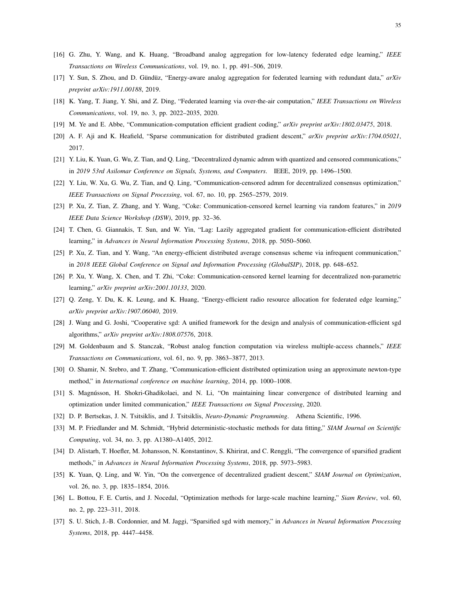- <span id="page-34-7"></span>[16] G. Zhu, Y. Wang, and K. Huang, "Broadband analog aggregation for low-latency federated edge learning," *IEEE Transactions on Wireless Communications*, vol. 19, no. 1, pp. 491–506, 2019.
- <span id="page-34-8"></span>[17] Y. Sun, S. Zhou, and D. Gündüz, "Energy-aware analog aggregation for federated learning with redundant data," arXiv *preprint arXiv:1911.00188*, 2019.
- <span id="page-34-0"></span>[18] K. Yang, T. Jiang, Y. Shi, and Z. Ding, "Federated learning via over-the-air computation," *IEEE Transactions on Wireless Communications*, vol. 19, no. 3, pp. 2022–2035, 2020.
- <span id="page-34-1"></span>[19] M. Ye and E. Abbe, "Communication-computation efficient gradient coding," *arXiv preprint arXiv:1802.03475*, 2018.
- <span id="page-34-2"></span>[20] A. F. Aji and K. Heafield, "Sparse communication for distributed gradient descent," *arXiv preprint arXiv:1704.05021*, 2017.
- <span id="page-34-3"></span>[21] Y. Liu, K. Yuan, G. Wu, Z. Tian, and Q. Ling, "Decentralized dynamic admm with quantized and censored communications," in *2019 53rd Asilomar Conference on Signals, Systems, and Computers*. IEEE, 2019, pp. 1496–1500.
- <span id="page-34-4"></span>[22] Y. Liu, W. Xu, G. Wu, Z. Tian, and Q. Ling, "Communication-censored admm for decentralized consensus optimization," *IEEE Transactions on Signal Processing*, vol. 67, no. 10, pp. 2565–2579, 2019.
- [23] P. Xu, Z. Tian, Z. Zhang, and Y. Wang, "Coke: Communication-censored kernel learning via random features," in *2019 IEEE Data Science Workshop (DSW)*, 2019, pp. 32–36.
- [24] T. Chen, G. Giannakis, T. Sun, and W. Yin, "Lag: Lazily aggregated gradient for communication-efficient distributed learning," in *Advances in Neural Information Processing Systems*, 2018, pp. 5050–5060.
- [25] P. Xu, Z. Tian, and Y. Wang, "An energy-efficient distributed average consensus scheme via infrequent communication," in *2018 IEEE Global Conference on Signal and Information Processing (GlobalSIP)*, 2018, pp. 648–652.
- <span id="page-34-5"></span>[26] P. Xu, Y. Wang, X. Chen, and T. Zhi, "Coke: Communication-censored kernel learning for decentralized non-parametric learning," *arXiv preprint arXiv:2001.10133*, 2020.
- <span id="page-34-6"></span>[27] Q. Zeng, Y. Du, K. K. Leung, and K. Huang, "Energy-efficient radio resource allocation for federated edge learning," *arXiv preprint arXiv:1907.06040*, 2019.
- <span id="page-34-9"></span>[28] J. Wang and G. Joshi, "Cooperative sgd: A unified framework for the design and analysis of communication-efficient sgd algorithms," *arXiv preprint arXiv:1808.07576*, 2018.
- <span id="page-34-10"></span>[29] M. Goldenbaum and S. Stanczak, "Robust analog function computation via wireless multiple-access channels," *IEEE Transactions on Communications*, vol. 61, no. 9, pp. 3863–3877, 2013.
- <span id="page-34-11"></span>[30] O. Shamir, N. Srebro, and T. Zhang, "Communication-efficient distributed optimization using an approximate newton-type method," in *International conference on machine learning*, 2014, pp. 1000–1008.
- [31] S. Magnússon, H. Shokri-Ghadikolaei, and N. Li, "On maintaining linear convergence of distributed learning and optimization under limited communication," *IEEE Transactions on Signal Processing*, 2020.
- <span id="page-34-13"></span>[32] D. P. Bertsekas, J. N. Tsitsiklis, and J. Tsitsiklis, *Neuro-Dynamic Programming*. Athena Scientific, 1996.
- <span id="page-34-14"></span>[33] M. P. Friedlander and M. Schmidt, "Hybrid deterministic-stochastic methods for data fitting," *SIAM Journal on Scientific Computing*, vol. 34, no. 3, pp. A1380–A1405, 2012.
- <span id="page-34-12"></span>[34] D. Alistarh, T. Hoefler, M. Johansson, N. Konstantinov, S. Khirirat, and C. Renggli, "The convergence of sparsified gradient methods," in *Advances in Neural Information Processing Systems*, 2018, pp. 5973–5983.
- <span id="page-34-15"></span>[35] K. Yuan, Q. Ling, and W. Yin, "On the convergence of decentralized gradient descent," *SIAM Journal on Optimization*, vol. 26, no. 3, pp. 1835–1854, 2016.
- <span id="page-34-16"></span>[36] L. Bottou, F. E. Curtis, and J. Nocedal, "Optimization methods for large-scale machine learning," *Siam Review*, vol. 60, no. 2, pp. 223–311, 2018.
- <span id="page-34-17"></span>[37] S. U. Stich, J.-B. Cordonnier, and M. Jaggi, "Sparsified sgd with memory," in *Advances in Neural Information Processing Systems*, 2018, pp. 4447–4458.